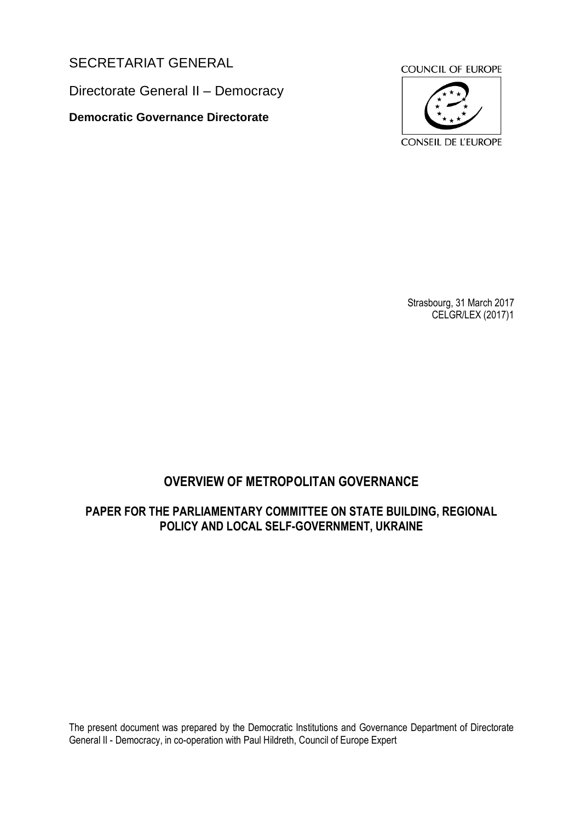SECRETARIAT GENERAL

Directorate General II – Democracy

**Democratic Governance Directorate**



Strasbourg, 31 March 2017 CELGR/LEX (2017)1

# **OVERVIEW OF METROPOLITAN GOVERNANCE**

# **PAPER FOR THE PARLIAMENTARY COMMITTEE ON STATE BUILDING, REGIONAL POLICY AND LOCAL SELF-GOVERNMENT, UKRAINE**

The present document was prepared by the Democratic Institutions and Governance Department of Directorate General II - Democracy, in co-operation with Paul Hildreth, Council of Europe Expert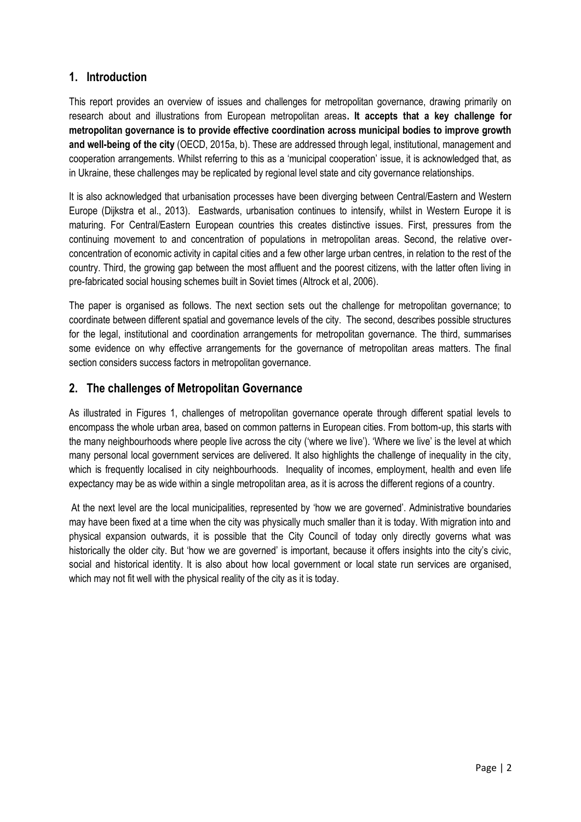# **1. Introduction**

This report provides an overview of issues and challenges for metropolitan governance, drawing primarily on research about and illustrations from European metropolitan areas**. It accepts that a key challenge for metropolitan governance is to provide effective coordination across municipal bodies to improve growth and well-being of the city** (OECD, 2015a, b). These are addressed through legal, institutional, management and cooperation arrangements. Whilst referring to this as a 'municipal cooperation' issue, it is acknowledged that, as in Ukraine, these challenges may be replicated by regional level state and city governance relationships.

It is also acknowledged that urbanisation processes have been diverging between Central/Eastern and Western Europe (Dijkstra et al., 2013). Eastwards, urbanisation continues to intensify, whilst in Western Europe it is maturing. For Central/Eastern European countries this creates distinctive issues. First, pressures from the continuing movement to and concentration of populations in metropolitan areas. Second, the relative overconcentration of economic activity in capital cities and a few other large urban centres, in relation to the rest of the country. Third, the growing gap between the most affluent and the poorest citizens, with the latter often living in pre-fabricated social housing schemes built in Soviet times (Altrock et al, 2006).

The paper is organised as follows. The next section sets out the challenge for metropolitan governance; to coordinate between different spatial and governance levels of the city. The second, describes possible structures for the legal, institutional and coordination arrangements for metropolitan governance. The third, summarises some evidence on why effective arrangements for the governance of metropolitan areas matters. The final section considers success factors in metropolitan governance.

# **2. The challenges of Metropolitan Governance**

As illustrated in Figures 1, challenges of metropolitan governance operate through different spatial levels to encompass the whole urban area, based on common patterns in European cities. From bottom-up, this starts with the many neighbourhoods where people live across the city ('where we live'). 'Where we live' is the level at which many personal local government services are delivered. It also highlights the challenge of inequality in the city, which is frequently localised in city neighbourhoods. Inequality of incomes, employment, health and even life expectancy may be as wide within a single metropolitan area, as it is across the different regions of a country.

At the next level are the local municipalities, represented by 'how we are governed'. Administrative boundaries may have been fixed at a time when the city was physically much smaller than it is today. With migration into and physical expansion outwards, it is possible that the City Council of today only directly governs what was historically the older city. But 'how we are governed' is important, because it offers insights into the city's civic, social and historical identity. It is also about how local government or local state run services are organised, which may not fit well with the physical reality of the city as it is today.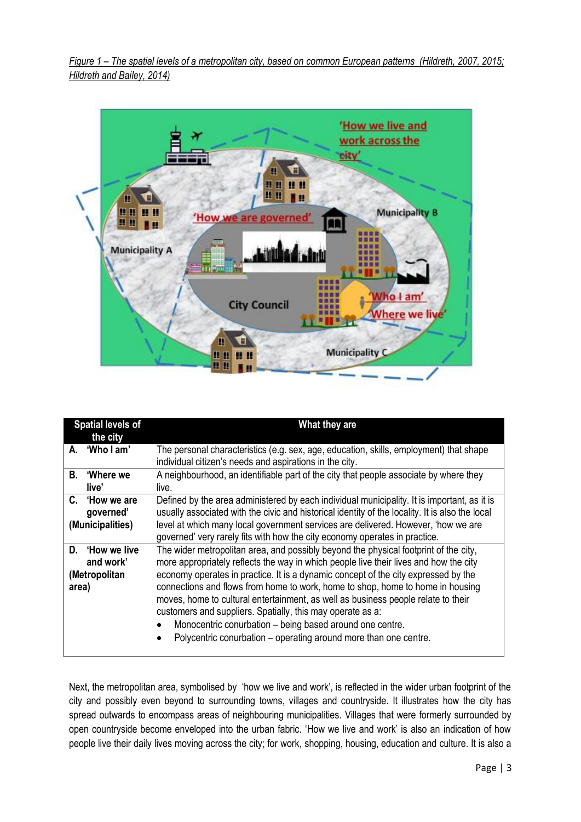*Figure 1 – The spatial levels of a metropolitan city, based on common European patterns (Hildreth, 2007, 2015; Hildreth and Bailey, 2014)*



| <b>Spatial levels of</b><br>the city                   |                       | What they are                                                                                                                                                                                                                                                                                                                                                                                                                                                                                                                                                                                                                                         |  |  |  |  |
|--------------------------------------------------------|-----------------------|-------------------------------------------------------------------------------------------------------------------------------------------------------------------------------------------------------------------------------------------------------------------------------------------------------------------------------------------------------------------------------------------------------------------------------------------------------------------------------------------------------------------------------------------------------------------------------------------------------------------------------------------------------|--|--|--|--|
| А.                                                     | 'Who I am'            | The personal characteristics (e.g. sex, age, education, skills, employment) that shape<br>individual citizen's needs and aspirations in the city.                                                                                                                                                                                                                                                                                                                                                                                                                                                                                                     |  |  |  |  |
|                                                        | B. 'Where we<br>live' | A neighbourhood, an identifiable part of the city that people associate by where they<br>live.                                                                                                                                                                                                                                                                                                                                                                                                                                                                                                                                                        |  |  |  |  |
| C. 'How we are<br>governed'<br>(Municipalities)        |                       | Defined by the area administered by each individual municipality. It is important, as it is<br>usually associated with the civic and historical identity of the locality. It is also the local<br>level at which many local government services are delivered. However, 'how we are<br>governed' very rarely fits with how the city economy operates in practice.                                                                                                                                                                                                                                                                                     |  |  |  |  |
| D. 'How we live<br>and work'<br>(Metropolitan<br>area) |                       | The wider metropolitan area, and possibly beyond the physical footprint of the city,<br>more appropriately reflects the way in which people live their lives and how the city<br>economy operates in practice. It is a dynamic concept of the city expressed by the<br>connections and flows from home to work, home to shop, home to home in housing<br>moves, home to cultural entertainment, as well as business people relate to their<br>customers and suppliers. Spatially, this may operate as a:<br>Monocentric conurbation – being based around one centre.<br>Polycentric conurbation – operating around more than one centre.<br>$\bullet$ |  |  |  |  |

Next, the metropolitan area, symbolised by 'how we live and work', is reflected in the wider urban footprint of the city and possibly even beyond to surrounding towns, villages and countryside. It illustrates how the city has spread outwards to encompass areas of neighbouring municipalities. Villages that were formerly surrounded by open countryside become enveloped into the urban fabric. 'How we live and work' is also an indication of how people live their daily lives moving across the city; for work, shopping, housing, education and culture. It is also a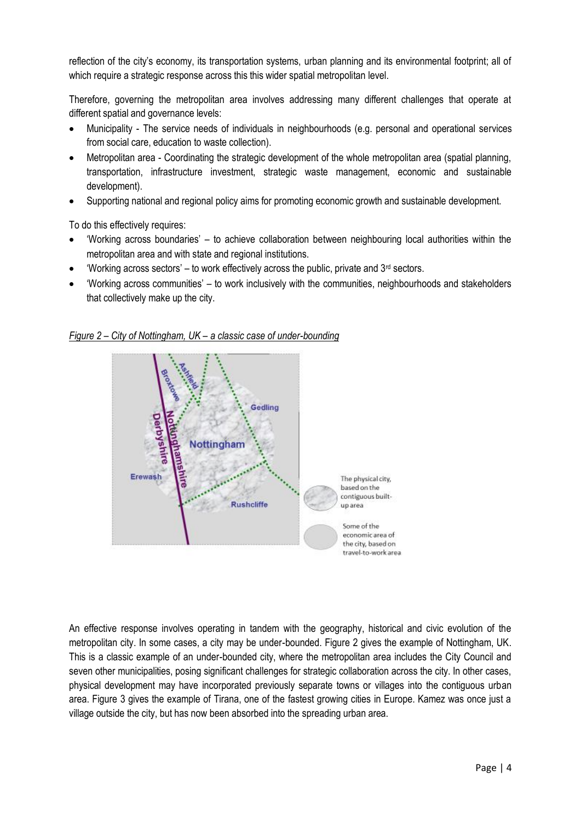reflection of the city's economy, its transportation systems, urban planning and its environmental footprint; all of which require a strategic response across this this wider spatial metropolitan level.

Therefore, governing the metropolitan area involves addressing many different challenges that operate at different spatial and governance levels:

- Municipality The service needs of individuals in neighbourhoods (e.g. personal and operational services from social care, education to waste collection).
- Metropolitan area Coordinating the strategic development of the whole metropolitan area (spatial planning, transportation, infrastructure investment, strategic waste management, economic and sustainable development).
- Supporting national and regional policy aims for promoting economic growth and sustainable development.

To do this effectively requires:

- 'Working across boundaries' to achieve collaboration between neighbouring local authorities within the metropolitan area and with state and regional institutions.
- **Working across sectors'** to work effectively across the public, private and  $3<sup>rd</sup>$  sectors.
- 'Working across communities' to work inclusively with the communities, neighbourhoods and stakeholders that collectively make up the city.



*Figure 2 – City of Nottingham, UK – a classic case of under-bounding*

An effective response involves operating in tandem with the geography, historical and civic evolution of the metropolitan city. In some cases, a city may be under-bounded. Figure 2 gives the example of Nottingham, UK. This is a classic example of an under-bounded city, where the metropolitan area includes the City Council and seven other municipalities, posing significant challenges for strategic collaboration across the city. In other cases, physical development may have incorporated previously separate towns or villages into the contiguous urban area. Figure 3 gives the example of Tirana, one of the fastest growing cities in Europe. Kamez was once just a village outside the city, but has now been absorbed into the spreading urban area.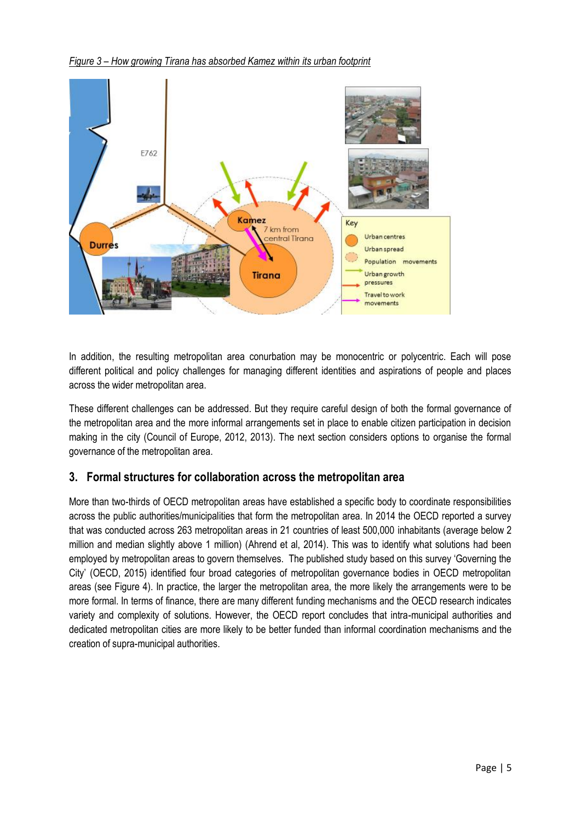*Figure 3 – How growing Tirana has absorbed Kamez within its urban footprint*



In addition, the resulting metropolitan area conurbation may be monocentric or polycentric. Each will pose different political and policy challenges for managing different identities and aspirations of people and places across the wider metropolitan area.

These different challenges can be addressed. But they require careful design of both the formal governance of the metropolitan area and the more informal arrangements set in place to enable citizen participation in decision making in the city (Council of Europe, 2012, 2013). The next section considers options to organise the formal governance of the metropolitan area.

# **3. Formal structures for collaboration across the metropolitan area**

More than two-thirds of OECD metropolitan areas have established a specific body to coordinate responsibilities across the public authorities/municipalities that form the metropolitan area. In 2014 the OECD reported a survey that was conducted across 263 metropolitan areas in 21 countries of least 500,000 inhabitants (average below 2 million and median slightly above 1 million) (Ahrend et al, 2014). This was to identify what solutions had been employed by metropolitan areas to govern themselves. The published study based on this survey 'Governing the City' (OECD, 2015) identified four broad categories of metropolitan governance bodies in OECD metropolitan areas (see Figure 4). In practice, the larger the metropolitan area, the more likely the arrangements were to be more formal. In terms of finance, there are many different funding mechanisms and the OECD research indicates variety and complexity of solutions. However, the OECD report concludes that intra-municipal authorities and dedicated metropolitan cities are more likely to be better funded than informal coordination mechanisms and the creation of supra-municipal authorities.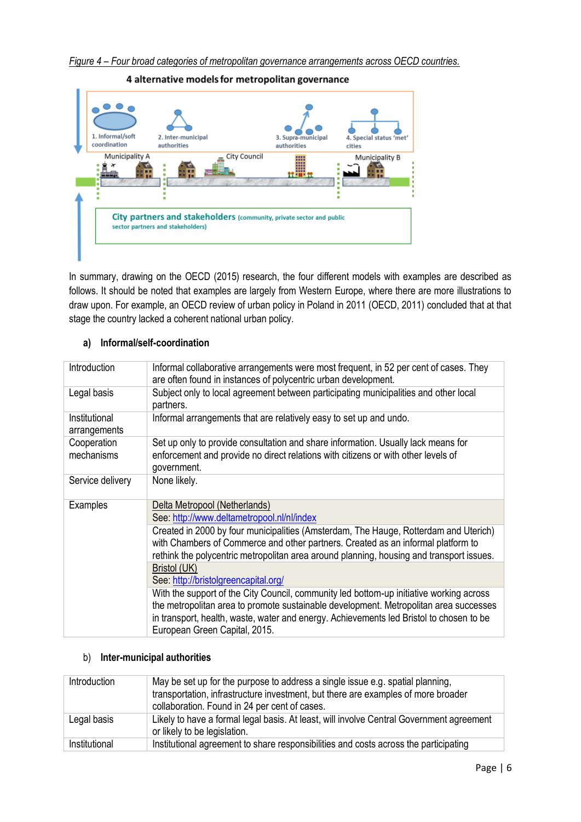

4 alternative models for metropolitan governance

In summary, drawing on the OECD (2015) research, the four different models with examples are described as follows. It should be noted that examples are largely from Western Europe, where there are more illustrations to draw upon. For example, an OECD review of urban policy in Poland in 2011 (OECD, 2011) concluded that at that stage the country lacked a coherent national urban policy.

## **a) Informal/self-coordination**

| Introduction                                                                                                                                                                                                       | Informal collaborative arrangements were most frequent, in 52 per cent of cases. They<br>are often found in instances of polycentric urban development.                                                                                                                     |  |
|--------------------------------------------------------------------------------------------------------------------------------------------------------------------------------------------------------------------|-----------------------------------------------------------------------------------------------------------------------------------------------------------------------------------------------------------------------------------------------------------------------------|--|
| Legal basis                                                                                                                                                                                                        | Subject only to local agreement between participating municipalities and other local<br>partners.                                                                                                                                                                           |  |
| Institutional<br>arrangements                                                                                                                                                                                      | Informal arrangements that are relatively easy to set up and undo.                                                                                                                                                                                                          |  |
| Cooperation<br>Set up only to provide consultation and share information. Usually lack means for<br>mechanisms<br>enforcement and provide no direct relations with citizens or with other levels of<br>government. |                                                                                                                                                                                                                                                                             |  |
| Service delivery                                                                                                                                                                                                   | None likely.                                                                                                                                                                                                                                                                |  |
| Examples                                                                                                                                                                                                           | Delta Metropool (Netherlands)<br>See: http://www.deltametropool.nl/nl/index                                                                                                                                                                                                 |  |
|                                                                                                                                                                                                                    | Created in 2000 by four municipalities (Amsterdam, The Hauge, Rotterdam and Uterich)<br>with Chambers of Commerce and other partners. Created as an informal platform to<br>rethink the polycentric metropolitan area around planning, housing and transport issues.        |  |
|                                                                                                                                                                                                                    | Bristol (UK)<br>See: http://bristolgreencapital.org/                                                                                                                                                                                                                        |  |
|                                                                                                                                                                                                                    | With the support of the City Council, community led bottom-up initiative working across<br>the metropolitan area to promote sustainable development. Metropolitan area successes<br>in transport, health, waste, water and energy. Achievements led Bristol to chosen to be |  |
|                                                                                                                                                                                                                    | European Green Capital, 2015.                                                                                                                                                                                                                                               |  |

## b) **Inter-municipal authorities**

| Introduction  | May be set up for the purpose to address a single issue e.g. spatial planning,<br>transportation, infrastructure investment, but there are examples of more broader<br>collaboration. Found in 24 per cent of cases. |
|---------------|----------------------------------------------------------------------------------------------------------------------------------------------------------------------------------------------------------------------|
| Legal basis   | Likely to have a formal legal basis. At least, will involve Central Government agreement<br>or likely to be legislation.                                                                                             |
| Institutional | Institutional agreement to share responsibilities and costs across the participating                                                                                                                                 |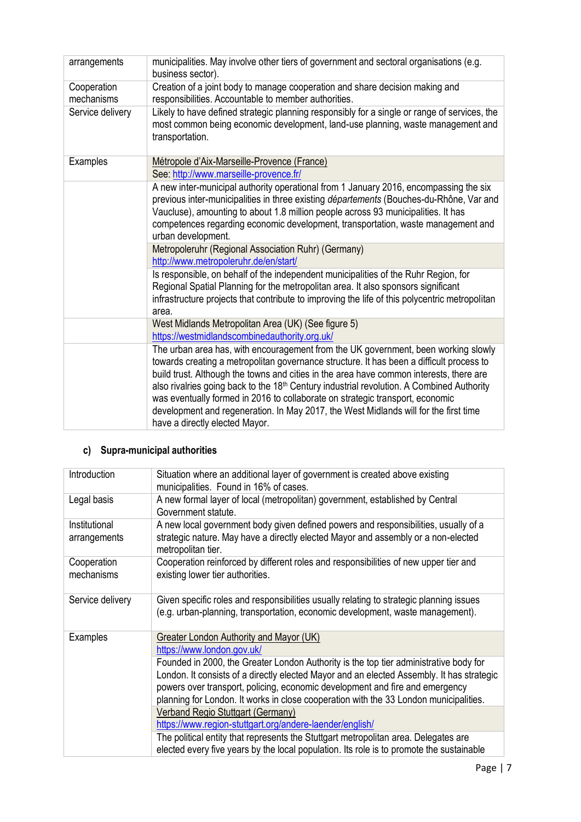| arrangements              | municipalities. May involve other tiers of government and sectoral organisations (e.g.<br>business sector).                                                                                                                                                                                                                                                                                                                                                                                                                                                                                   |  |  |  |  |
|---------------------------|-----------------------------------------------------------------------------------------------------------------------------------------------------------------------------------------------------------------------------------------------------------------------------------------------------------------------------------------------------------------------------------------------------------------------------------------------------------------------------------------------------------------------------------------------------------------------------------------------|--|--|--|--|
| Cooperation<br>mechanisms | Creation of a joint body to manage cooperation and share decision making and<br>responsibilities. Accountable to member authorities.                                                                                                                                                                                                                                                                                                                                                                                                                                                          |  |  |  |  |
| Service delivery          | Likely to have defined strategic planning responsibly for a single or range of services, the<br>most common being economic development, land-use planning, waste management and<br>transportation.                                                                                                                                                                                                                                                                                                                                                                                            |  |  |  |  |
| Examples                  | Métropole d'Aix-Marseille-Provence (France)<br>See: http://www.marseille-provence.fr/                                                                                                                                                                                                                                                                                                                                                                                                                                                                                                         |  |  |  |  |
|                           | A new inter-municipal authority operational from 1 January 2016, encompassing the six<br>previous inter-municipalities in three existing départements (Bouches-du-Rhône, Var and<br>Vaucluse), amounting to about 1.8 million people across 93 municipalities. It has<br>competences regarding economic development, transportation, waste management and<br>urban development.                                                                                                                                                                                                               |  |  |  |  |
|                           | Metropoleruhr (Regional Association Ruhr) (Germany)<br>http://www.metropoleruhr.de/en/start/                                                                                                                                                                                                                                                                                                                                                                                                                                                                                                  |  |  |  |  |
|                           | Is responsible, on behalf of the independent municipalities of the Ruhr Region, for<br>Regional Spatial Planning for the metropolitan area. It also sponsors significant<br>infrastructure projects that contribute to improving the life of this polycentric metropolitan<br>area.                                                                                                                                                                                                                                                                                                           |  |  |  |  |
|                           | West Midlands Metropolitan Area (UK) (See figure 5)<br>https://westmidlandscombinedauthority.org.uk/                                                                                                                                                                                                                                                                                                                                                                                                                                                                                          |  |  |  |  |
|                           | The urban area has, with encouragement from the UK government, been working slowly<br>towards creating a metropolitan governance structure. It has been a difficult process to<br>build trust. Although the towns and cities in the area have common interests, there are<br>also rivalries going back to the 18 <sup>th</sup> Century industrial revolution. A Combined Authority<br>was eventually formed in 2016 to collaborate on strategic transport, economic<br>development and regeneration. In May 2017, the West Midlands will for the first time<br>have a directly elected Mayor. |  |  |  |  |

# **c) Supra-municipal authorities**

| Introduction                  | Situation where an additional layer of government is created above existing<br>municipalities. Found in 16% of cases.                                                                                                                                                                                                                                       |
|-------------------------------|-------------------------------------------------------------------------------------------------------------------------------------------------------------------------------------------------------------------------------------------------------------------------------------------------------------------------------------------------------------|
| Legal basis                   | A new formal layer of local (metropolitan) government, established by Central<br>Government statute.                                                                                                                                                                                                                                                        |
| Institutional<br>arrangements | A new local government body given defined powers and responsibilities, usually of a<br>strategic nature. May have a directly elected Mayor and assembly or a non-elected<br>metropolitan tier.                                                                                                                                                              |
| Cooperation<br>mechanisms     | Cooperation reinforced by different roles and responsibilities of new upper tier and<br>existing lower tier authorities.                                                                                                                                                                                                                                    |
| Service delivery              | Given specific roles and responsibilities usually relating to strategic planning issues<br>(e.g. urban-planning, transportation, economic development, waste management).                                                                                                                                                                                   |
| Examples                      | <b>Greater London Authority and Mayor (UK)</b><br>https://www.london.gov.uk/                                                                                                                                                                                                                                                                                |
|                               | Founded in 2000, the Greater London Authority is the top tier administrative body for<br>London. It consists of a directly elected Mayor and an elected Assembly. It has strategic<br>powers over transport, policing, economic development and fire and emergency<br>planning for London. It works in close cooperation with the 33 London municipalities. |
|                               | <b>Verband Regio Stuttgart (Germany)</b><br>https://www.region-stuttgart.org/andere-laender/english/                                                                                                                                                                                                                                                        |
|                               | The political entity that represents the Stuttgart metropolitan area. Delegates are<br>elected every five years by the local population. Its role is to promote the sustainable                                                                                                                                                                             |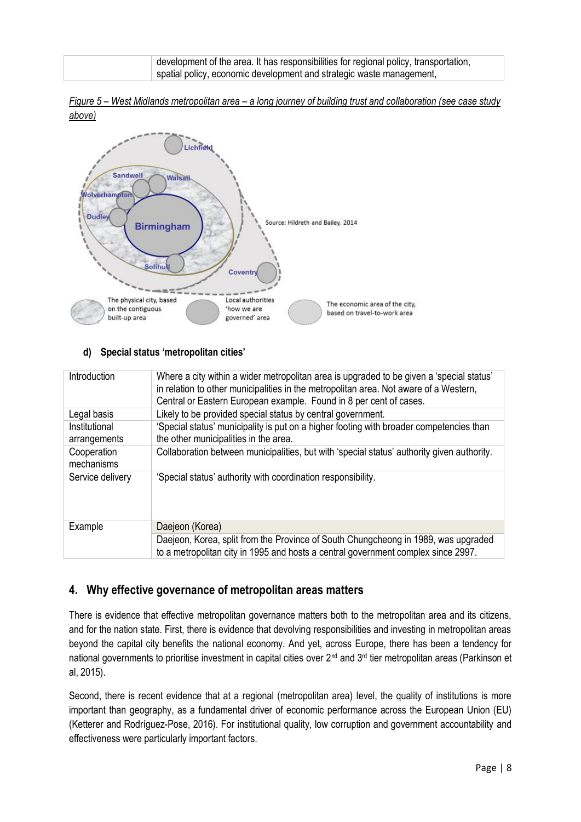| development of the area. It has responsibilities for regional policy, transportation, |
|---------------------------------------------------------------------------------------|
| spatial policy, economic development and strategic waste management,                  |

*Figure 5 – West Midlands metropolitan area – a long journey of building trust and collaboration (see case study above)*



## **d) Special status 'metropolitan cities'**

| <b>Introduction</b>           | Where a city within a wider metropolitan area is upgraded to be given a 'special status'<br>in relation to other municipalities in the metropolitan area. Not aware of a Western,<br>Central or Eastern European example. Found in 8 per cent of cases. |  |  |  |  |
|-------------------------------|---------------------------------------------------------------------------------------------------------------------------------------------------------------------------------------------------------------------------------------------------------|--|--|--|--|
| Legal basis                   | Likely to be provided special status by central government.                                                                                                                                                                                             |  |  |  |  |
| Institutional<br>arrangements | 'Special status' municipality is put on a higher footing with broader competencies than<br>the other municipalities in the area.                                                                                                                        |  |  |  |  |
| Cooperation<br>mechanisms     | Collaboration between municipalities, but with 'special status' authority given authority.                                                                                                                                                              |  |  |  |  |
| Service delivery              | 'Special status' authority with coordination responsibility.                                                                                                                                                                                            |  |  |  |  |
| Example                       | Daejeon (Korea)                                                                                                                                                                                                                                         |  |  |  |  |
|                               | Daejeon, Korea, split from the Province of South Chungcheong in 1989, was upgraded<br>to a metropolitan city in 1995 and hosts a central government complex since 2997.                                                                                 |  |  |  |  |

# **4. Why effective governance of metropolitan areas matters**

There is evidence that effective metropolitan governance matters both to the metropolitan area and its citizens, and for the nation state. First, there is evidence that devolving responsibilities and investing in metropolitan areas beyond the capital city benefits the national economy. And yet, across Europe, there has been a tendency for national governments to prioritise investment in capital cities over 2<sup>nd</sup> and 3<sup>rd</sup> tier metropolitan areas (Parkinson et al, 2015).

Second, there is recent evidence that at a regional (metropolitan area) level, the quality of institutions is more important than geography, as a fundamental driver of economic performance across the European Union (EU) (Ketterer and Rodríguez-Pose, 2016). For institutional quality, low corruption and government accountability and effectiveness were particularly important factors.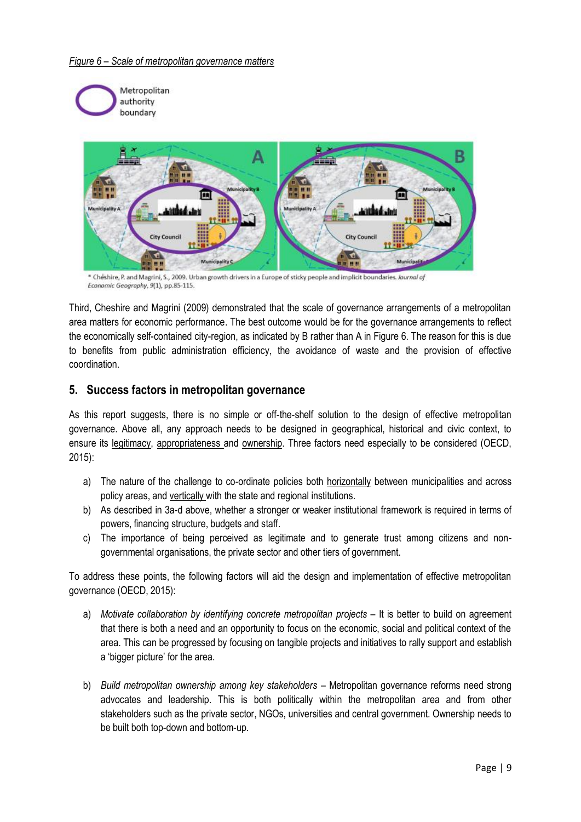## *Figure 6 – Scale of metropolitan governance matters*





\* Chéshire, P. and Magrini, S., 2009. Urban growth drivers in a Europe of sticky people and implicit boundaries. Journal of Economic Geography, 9(1), pp.85-115.

Third, Cheshire and Magrini (2009) demonstrated that the scale of governance arrangements of a metropolitan area matters for economic performance. The best outcome would be for the governance arrangements to reflect the economically self-contained city-region, as indicated by B rather than A in Figure 6. The reason for this is due to benefits from public administration efficiency, the avoidance of waste and the provision of effective coordination.

# **5. Success factors in metropolitan governance**

As this report suggests, there is no simple or off-the-shelf solution to the design of effective metropolitan governance. Above all, any approach needs to be designed in geographical, historical and civic context, to ensure its legitimacy, appropriateness and ownership. Three factors need especially to be considered (OECD, 2015):

- a) The nature of the challenge to co-ordinate policies both horizontally between municipalities and across policy areas, and vertically with the state and regional institutions.
- b) As described in 3a-d above, whether a stronger or weaker institutional framework is required in terms of powers, financing structure, budgets and staff.
- c) The importance of being perceived as legitimate and to generate trust among citizens and nongovernmental organisations, the private sector and other tiers of government.

To address these points, the following factors will aid the design and implementation of effective metropolitan governance (OECD, 2015):

- a) *Motivate collaboration by identifying concrete metropolitan projects* It is better to build on agreement that there is both a need and an opportunity to focus on the economic, social and political context of the area. This can be progressed by focusing on tangible projects and initiatives to rally support and establish a 'bigger picture' for the area.
- b) *Build metropolitan ownership among key stakeholders*  Metropolitan governance reforms need strong advocates and leadership. This is both politically within the metropolitan area and from other stakeholders such as the private sector, NGOs, universities and central government. Ownership needs to be built both top-down and bottom-up.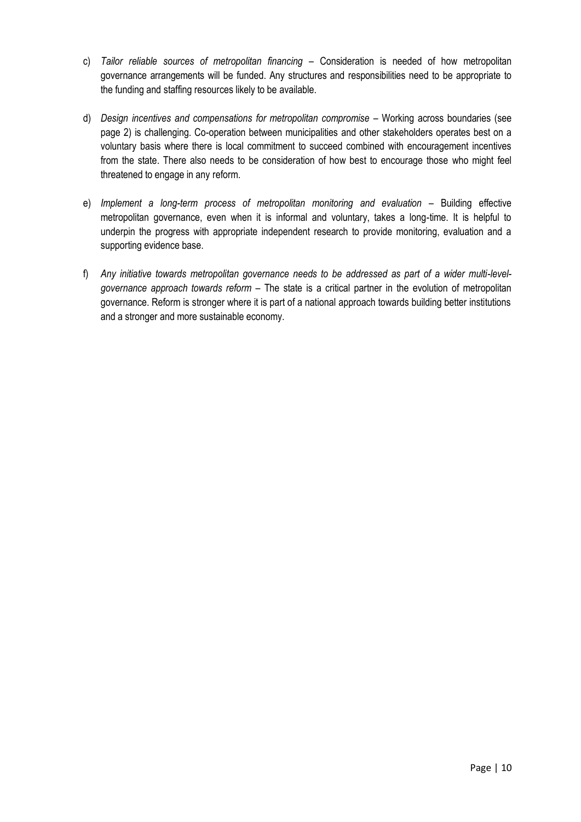- c) *Tailor reliable sources of metropolitan financing* Consideration is needed of how metropolitan governance arrangements will be funded. Any structures and responsibilities need to be appropriate to the funding and staffing resources likely to be available.
- d) *Design incentives and compensations for metropolitan compromise* Working across boundaries (see page 2) is challenging. Co-operation between municipalities and other stakeholders operates best on a voluntary basis where there is local commitment to succeed combined with encouragement incentives from the state. There also needs to be consideration of how best to encourage those who might feel threatened to engage in any reform.
- e) *Implement a long-term process of metropolitan monitoring and evaluation* Building effective metropolitan governance, even when it is informal and voluntary, takes a long-time. It is helpful to underpin the progress with appropriate independent research to provide monitoring, evaluation and a supporting evidence base.
- f) *Any initiative towards metropolitan governance needs to be addressed as part of a wider multi-levelgovernance approach towards reform* – The state is a critical partner in the evolution of metropolitan governance. Reform is stronger where it is part of a national approach towards building better institutions and a stronger and more sustainable economy.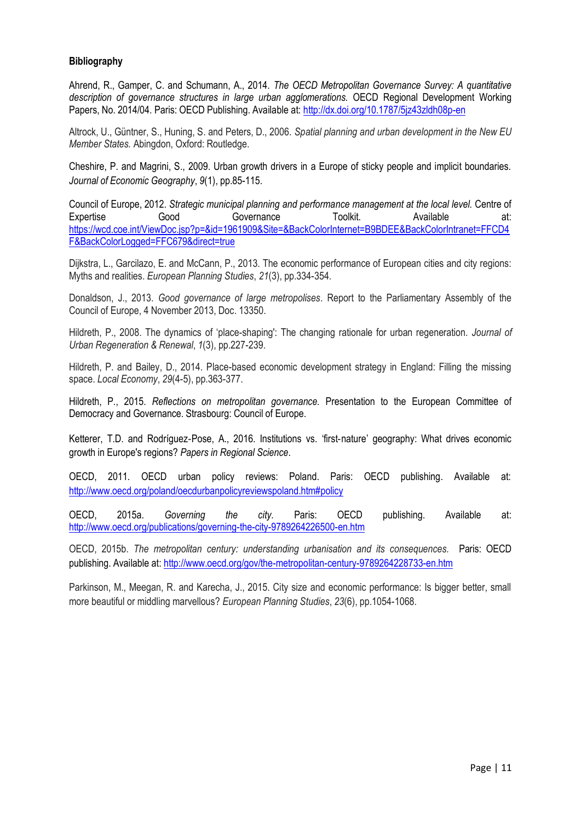#### **Bibliography**

Ahrend, R., Gamper, C. and Schumann, A., 2014. *The OECD Metropolitan Governance Survey: A quantitative description of governance structures in large urban agglomerations.* OECD Regional Development Working Papers, No. 2014/04. Paris: OECD Publishing. Available at:<http://dx.doi.org/10.1787/5jz43zldh08p-en>

Altrock, U., Güntner, S., Huning, S. and Peters, D., 2006. *Spatial planning and urban development in the New EU Member States.* Abingdon, Oxford: Routledge.

Cheshire, P. and Magrini, S., 2009. Urban growth drivers in a Europe of sticky people and implicit boundaries. *Journal of Economic Geography*, *9*(1), pp.85-115.

Council of Europe, 2012. *Strategic municipal planning and performance management at the local level.* Centre of Expertise Good Governance Toolkit. Available at: [https://wcd.coe.int/ViewDoc.jsp?p=&id=1961909&Site=&BackColorInternet=B9BDEE&BackColorIntranet=FFCD4](https://wcd.coe.int/ViewDoc.jsp?p=&id=1961909&Site=&BackColorInternet=B9BDEE&BackColorIntranet=FFCD4F&BackColorLogged=FFC679&direct=true) [F&BackColorLogged=FFC679&direct=true](https://wcd.coe.int/ViewDoc.jsp?p=&id=1961909&Site=&BackColorInternet=B9BDEE&BackColorIntranet=FFCD4F&BackColorLogged=FFC679&direct=true)

Dijkstra, L., Garcilazo, E. and McCann, P., 2013. The economic performance of European cities and city regions: Myths and realities. *European Planning Studies*, *21*(3), pp.334-354.

Donaldson, J., 2013. *Good governance of large metropolises*. Report to the Parliamentary Assembly of the Council of Europe, 4 November 2013, Doc. 13350.

Hildreth, P., 2008. The dynamics of 'place-shaping': The changing rationale for urban regeneration. *Journal of Urban Regeneration & Renewal*, *1*(3), pp.227-239.

Hildreth, P. and Bailey, D., 2014. Place-based economic development strategy in England: Filling the missing space. *Local Economy*, *29*(4-5), pp.363-377.

Hildreth, P., 2015. *Reflections on metropolitan governance.* Presentation to the European Committee of Democracy and Governance. Strasbourg: Council of Europe.

Ketterer, T.D. and Rodríguez-Pose, A., 2016. Institutions vs. 'first-nature' geography: What drives economic growth in Europe's regions? *Papers in Regional Science*.

OECD, 2011. OECD urban policy reviews: Poland. Paris: OECD publishing. Available at: <http://www.oecd.org/poland/oecdurbanpolicyreviewspoland.htm#policy>

OECD, 2015a. *Governing the city.* Paris: OECD publishing. Available at: <http://www.oecd.org/publications/governing-the-city-9789264226500-en.htm>

OECD, 2015b. *The metropolitan century: understanding urbanisation and its consequences.* Paris: OECD publishing. Available at: <http://www.oecd.org/gov/the-metropolitan-century-9789264228733-en.htm>

Parkinson, M., Meegan, R. and Karecha, J., 2015. City size and economic performance: Is bigger better, small more beautiful or middling marvellous? *European Planning Studies*, *23*(6), pp.1054-1068.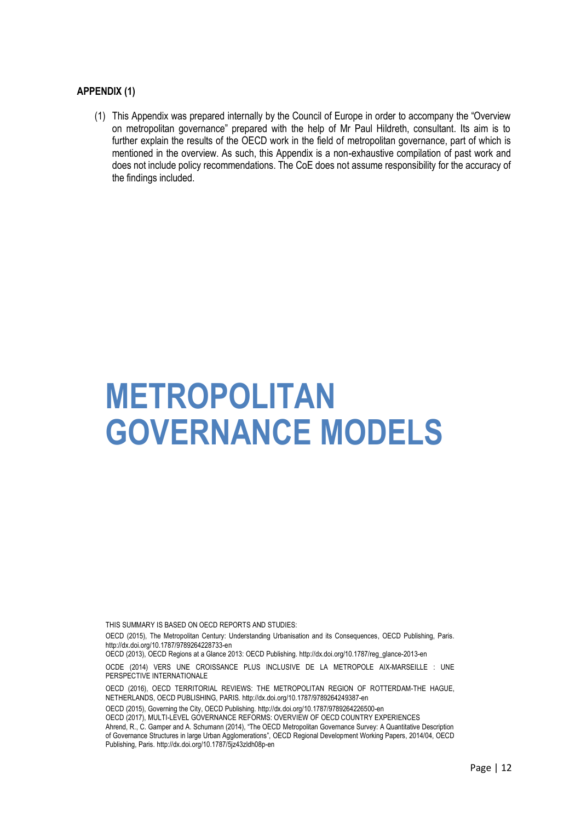#### **APPENDIX (1)**

(1) This Appendix was prepared internally by the Council of Europe in order to accompany the "Overview on metropolitan governance" prepared with the help of Mr Paul Hildreth, consultant. Its aim is to further explain the results of the OECD work in the field of metropolitan governance, part of which is mentioned in the overview. As such, this Appendix is a non-exhaustive compilation of past work and does not include policy recommendations. The CoE does not assume responsibility for the accuracy of the findings included.

# **METROPOLITAN GOVERNANCE MODELS**

THIS SUMMARY IS BASED ON OECD REPORTS AND STUDIES:

OECD (2015), The Metropolitan Century: Understanding Urbanisation and its Consequences, OECD Publishing, Paris. http://dx.doi.org/10.1787/9789264228733-en

OECD (2013), OECD Regions at a Glance 2013: OECD Publishing. http://dx.doi.org/10.1787/reg\_glance-2013-en

OCDE (2014) VERS UNE CROISSANCE PLUS INCLUSIVE DE LA METROPOLE AIX-MARSEILLE : UNE PERSPECTIVE INTERNATIONALE

OECD (2016), OECD TERRITORIAL REVIEWS: THE METROPOLITAN REGION OF ROTTERDAM-THE HAGUE, NETHERLANDS, OECD PUBLISHING, PARIS. http://dx.doi.org/10.1787/9789264249387-en

OECD (2015), Governing the City, OECD Publishing. http://dx.doi.org/10.1787/9789264226500-en

OECD (2017), MULTI-LEVEL GOVERNANCE REFORMS: OVERVIEW OF OECD COUNTRY EXPERIENCES

Ahrend, R., C. Gamper and A. Schumann (2014), "The OECD Metropolitan Governance Survey: A Quantitative Description of Governance Structures in large Urban Agglomerations", OECD Regional Development Working Papers, 2014/04, OECD Publishing, Paris. http://dx.doi.org/10.1787/5jz43zldh08p-en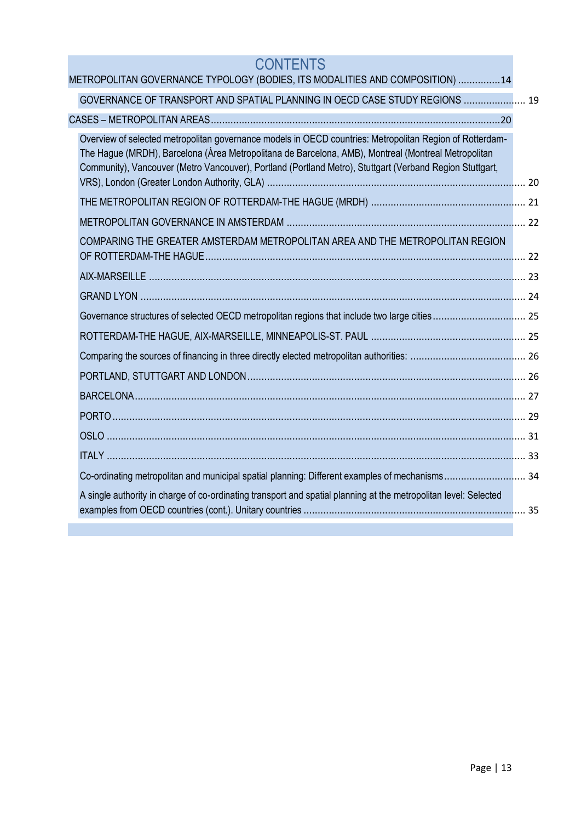| <b>CONTENTS</b>                                                                                                                                                                                                                                                                                                             |  |
|-----------------------------------------------------------------------------------------------------------------------------------------------------------------------------------------------------------------------------------------------------------------------------------------------------------------------------|--|
| METROPOLITAN GOVERNANCE TYPOLOGY (BODIES, ITS MODALITIES AND COMPOSITION) 14                                                                                                                                                                                                                                                |  |
| GOVERNANCE OF TRANSPORT AND SPATIAL PLANNING IN OECD CASE STUDY REGIONS  19                                                                                                                                                                                                                                                 |  |
|                                                                                                                                                                                                                                                                                                                             |  |
| Overview of selected metropolitan governance models in OECD countries: Metropolitan Region of Rotterdam-<br>The Hague (MRDH), Barcelona (Área Metropolitana de Barcelona, AMB), Montreal (Montreal Metropolitan<br>Community), Vancouver (Metro Vancouver), Portland (Portland Metro), Stuttgart (Verband Region Stuttgart, |  |
|                                                                                                                                                                                                                                                                                                                             |  |
|                                                                                                                                                                                                                                                                                                                             |  |
| COMPARING THE GREATER AMSTERDAM METROPOLITAN AREA AND THE METROPOLITAN REGION                                                                                                                                                                                                                                               |  |
|                                                                                                                                                                                                                                                                                                                             |  |
|                                                                                                                                                                                                                                                                                                                             |  |
|                                                                                                                                                                                                                                                                                                                             |  |
|                                                                                                                                                                                                                                                                                                                             |  |
|                                                                                                                                                                                                                                                                                                                             |  |
|                                                                                                                                                                                                                                                                                                                             |  |
|                                                                                                                                                                                                                                                                                                                             |  |
|                                                                                                                                                                                                                                                                                                                             |  |
|                                                                                                                                                                                                                                                                                                                             |  |
|                                                                                                                                                                                                                                                                                                                             |  |
| Co-ordinating metropolitan and municipal spatial planning: Different examples of mechanisms 34                                                                                                                                                                                                                              |  |
| A single authority in charge of co-ordinating transport and spatial planning at the metropolitan level: Selected                                                                                                                                                                                                            |  |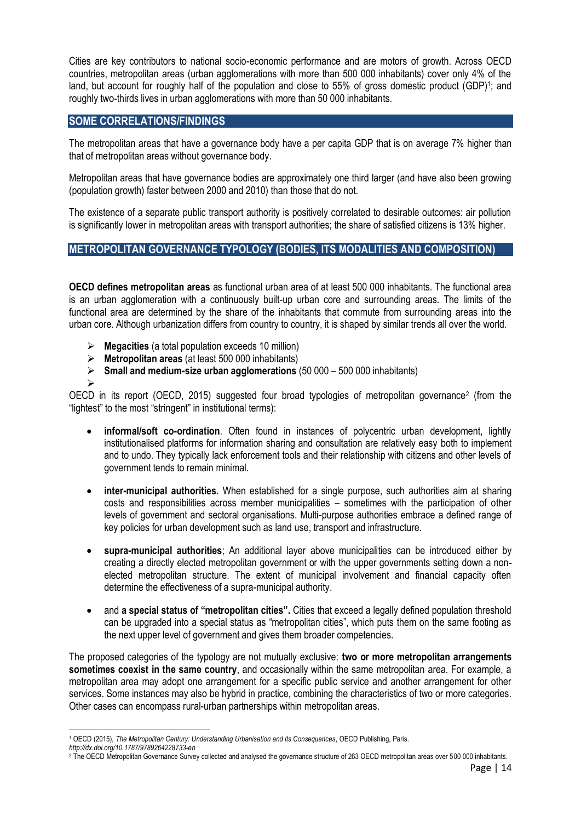Cities are key contributors to national socio-economic performance and are motors of growth. Across OECD countries, metropolitan areas (urban agglomerations with more than 500 000 inhabitants) cover only 4% of the land, but account for roughly half of the population and close to 55% of gross domestic product (GDP)<sup>1</sup>; and roughly two-thirds lives in urban agglomerations with more than 50 000 inhabitants.

# **SOME CORRELATIONS/FINDINGS**

The metropolitan areas that have a governance body have a per capita GDP that is on average 7% higher than that of metropolitan areas without governance body.

Metropolitan areas that have governance bodies are approximately one third larger (and have also been growing (population growth) faster between 2000 and 2010) than those that do not.

The existence of a separate public transport authority is positively correlated to desirable outcomes: air pollution is significantly lower in metropolitan areas with transport authorities; the share of satisfied citizens is 13% higher.

# <span id="page-13-0"></span>**METROPOLITAN GOVERNANCE TYPOLOGY (BODIES, ITS MODALITIES AND COMPOSITION)**

**OECD defines metropolitan areas** as functional urban area of at least 500 000 inhabitants. The functional area is an urban agglomeration with a continuously built-up urban core and surrounding areas. The limits of the functional area are determined by the share of the inhabitants that commute from surrounding areas into the urban core. Although urbanization differs from country to country, it is shaped by similar trends all over the world.

- **Megacities** (a total population exceeds 10 million)
- **Metropolitan areas** (at least 500 000 inhabitants)
- **Small and medium-size urban agglomerations** (50 000 500 000 inhabitants)

 $\blacktriangleright$ 

OECD in its report (OECD, 2015) suggested four broad typologies of metropolitan governance<sup>2</sup> (from the "lightest" to the most "stringent" in institutional terms):

- **informal/soft co-ordination**. Often found in instances of polycentric urban development, lightly institutionalised platforms for information sharing and consultation are relatively easy both to implement and to undo. They typically lack enforcement tools and their relationship with citizens and other levels of government tends to remain minimal.
- **inter-municipal authorities**. When established for a single purpose, such authorities aim at sharing costs and responsibilities across member municipalities – sometimes with the participation of other levels of government and sectoral organisations. Multi-purpose authorities embrace a defined range of key policies for urban development such as land use, transport and infrastructure.
- **supra-municipal authorities**; An additional layer above municipalities can be introduced either by creating a directly elected metropolitan government or with the upper governments setting down a nonelected metropolitan structure. The extent of municipal involvement and financial capacity often determine the effectiveness of a supra-municipal authority.
- and **a special status of "metropolitan cities".** Cities that exceed a legally defined population threshold can be upgraded into a special status as "metropolitan cities", which puts them on the same footing as the next upper level of government and gives them broader competencies.

The proposed categories of the typology are not mutually exclusive: **two or more metropolitan arrangements sometimes coexist in the same country**, and occasionally within the same metropolitan area. For example, a metropolitan area may adopt one arrangement for a specific public service and another arrangement for other services. Some instances may also be hybrid in practice, combining the characteristics of two or more categories. Other cases can encompass rural-urban partnerships within metropolitan areas.

<sup>1</sup> <sup>1</sup> OECD (2015), *The Metropolitan Century: Understanding Urbanisation and its Consequences*, OECD Publishing, Paris.

*http://dx.doi.org/10.1787/9789264228733-en*

<sup>&</sup>lt;sup>2</sup> The OECD Metropolitan Governance Survey collected and analysed the governance structure of 263 OECD metropolitan areas over 500 000 inhabitants.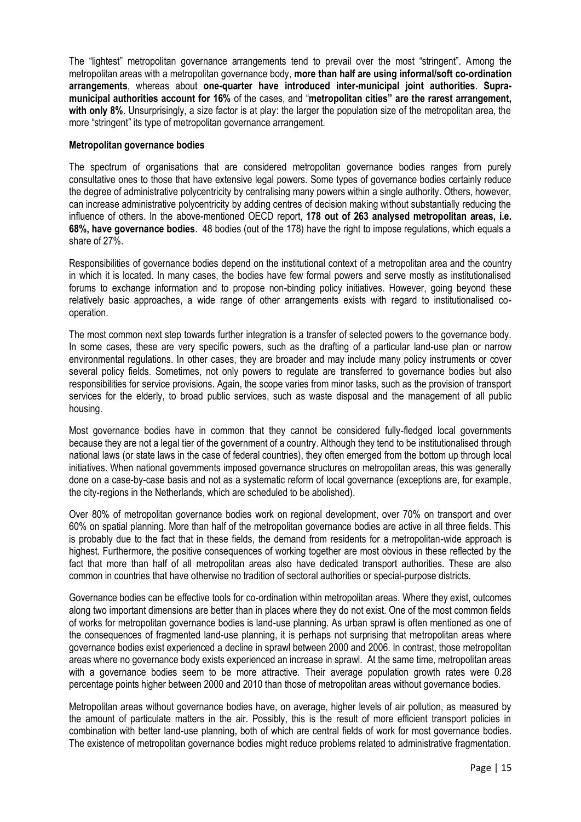The "lightest" metropolitan governance arrangements tend to prevail over the most "stringent". Among the metropolitan areas with a metropolitan governance body, **more than half are using informal/soft co-ordination arrangements**, whereas about **one-quarter have introduced inter-municipal joint authorities**. **Supramunicipal authorities account for 16%** of the cases, and "**metropolitan cities" are the rarest arrangement, with only 8%**. Unsurprisingly, a size factor is at play: the larger the population size of the metropolitan area, the more "stringent" its type of metropolitan governance arrangement.

#### **Metropolitan governance bodies**

The spectrum of organisations that are considered metropolitan governance bodies ranges from purely consultative ones to those that have extensive legal powers. Some types of governance bodies certainly reduce the degree of administrative polycentricity by centralising many powers within a single authority. Others, however, can increase administrative polycentricity by adding centres of decision making without substantially reducing the influence of others. In the above-mentioned OECD report, **178 out of 263 analysed metropolitan areas, i.e. 68%, have governance bodies**. 48 bodies (out of the 178) have the right to impose regulations, which equals a share of 27%.

Responsibilities of governance bodies depend on the institutional context of a metropolitan area and the country in which it is located. In many cases, the bodies have few formal powers and serve mostly as institutionalised forums to exchange information and to propose non-binding policy initiatives. However, going beyond these relatively basic approaches, a wide range of other arrangements exists with regard to institutionalised cooperation.

The most common next step towards further integration is a transfer of selected powers to the governance body. In some cases, these are very specific powers, such as the drafting of a particular land-use plan or narrow environmental regulations. In other cases, they are broader and may include many policy instruments or cover several policy fields. Sometimes, not only powers to regulate are transferred to governance bodies but also responsibilities for service provisions. Again, the scope varies from minor tasks, such as the provision of transport services for the elderly, to broad public services, such as waste disposal and the management of all public housing.

Most governance bodies have in common that they cannot be considered fully-fledged local governments because they are not a legal tier of the government of a country. Although they tend to be institutionalised through national laws (or state laws in the case of federal countries), they often emerged from the bottom up through local initiatives. When national governments imposed governance structures on metropolitan areas, this was generally done on a case-by-case basis and not as a systematic reform of local governance (exceptions are, for example, the city-regions in the Netherlands, which are scheduled to be abolished).

Over 80% of metropolitan governance bodies work on regional development, over 70% on transport and over 60% on spatial planning. More than half of the metropolitan governance bodies are active in all three fields. This is probably due to the fact that in these fields, the demand from residents for a metropolitan-wide approach is highest. Furthermore, the positive consequences of working together are most obvious in these reflected by the fact that more than half of all metropolitan areas also have dedicated transport authorities. These are also common in countries that have otherwise no tradition of sectoral authorities or special-purpose districts.

Governance bodies can be effective tools for co-ordination within metropolitan areas. Where they exist, outcomes along two important dimensions are better than in places where they do not exist. One of the most common fields of works for metropolitan governance bodies is land-use planning. As urban sprawl is often mentioned as one of the consequences of fragmented land-use planning, it is perhaps not surprising that metropolitan areas where governance bodies exist experienced a decline in sprawl between 2000 and 2006. In contrast, those metropolitan areas where no governance body exists experienced an increase in sprawl. At the same time, metropolitan areas with a governance bodies seem to be more attractive. Their average population growth rates were 0.28 percentage points higher between 2000 and 2010 than those of metropolitan areas without governance bodies.

Metropolitan areas without governance bodies have, on average, higher levels of air pollution, as measured by the amount of particulate matters in the air. Possibly, this is the result of more efficient transport policies in combination with better land-use planning, both of which are central fields of work for most governance bodies. The existence of metropolitan governance bodies might reduce problems related to administrative fragmentation.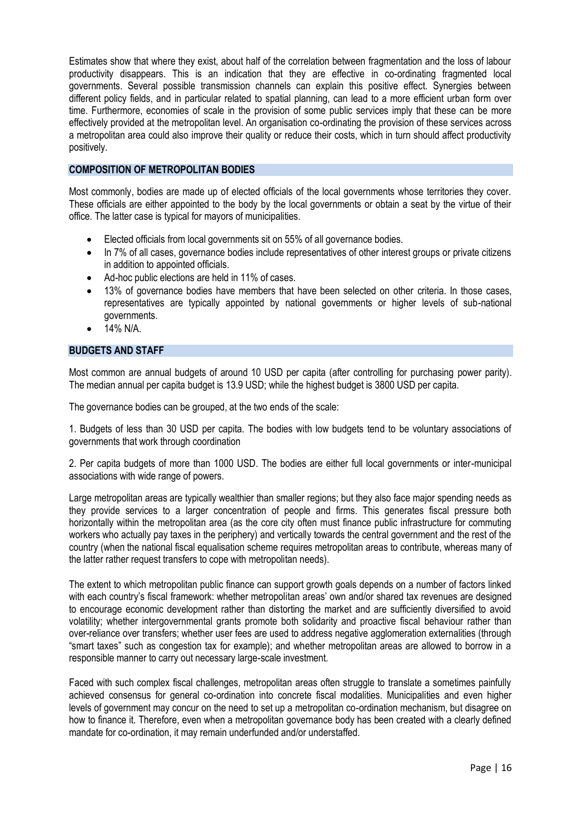Estimates show that where they exist, about half of the correlation between fragmentation and the loss of labour productivity disappears. This is an indication that they are effective in co-ordinating fragmented local governments. Several possible transmission channels can explain this positive effect. Synergies between different policy fields, and in particular related to spatial planning, can lead to a more efficient urban form over time. Furthermore, economies of scale in the provision of some public services imply that these can be more effectively provided at the metropolitan level. An organisation co-ordinating the provision of these services across a metropolitan area could also improve their quality or reduce their costs, which in turn should affect productivity positively.

#### **COMPOSITION OF METROPOLITAN BODIES**

Most commonly, bodies are made up of elected officials of the local governments whose territories they cover. These officials are either appointed to the body by the local governments or obtain a seat by the virtue of their office. The latter case is typical for mayors of municipalities.

- Elected officials from local governments sit on 55% of all governance bodies.
- In 7% of all cases, governance bodies include representatives of other interest groups or private citizens in addition to appointed officials.
- Ad-hoc public elections are held in 11% of cases.
- 13% of governance bodies have members that have been selected on other criteria. In those cases, representatives are typically appointed by national governments or higher levels of sub-national governments.
- 14% N/A.

#### **BUDGETS AND STAFF**

Most common are annual budgets of around 10 USD per capita (after controlling for purchasing power parity). The median annual per capita budget is 13.9 USD; while the highest budget is 3800 USD per capita.

The governance bodies can be grouped, at the two ends of the scale:

1. Budgets of less than 30 USD per capita. The bodies with low budgets tend to be voluntary associations of governments that work through coordination

2. Per capita budgets of more than 1000 USD. The bodies are either full local governments or inter-municipal associations with wide range of powers.

Large metropolitan areas are typically wealthier than smaller regions; but they also face major spending needs as they provide services to a larger concentration of people and firms. This generates fiscal pressure both horizontally within the metropolitan area (as the core city often must finance public infrastructure for commuting workers who actually pay taxes in the periphery) and vertically towards the central government and the rest of the country (when the national fiscal equalisation scheme requires metropolitan areas to contribute, whereas many of the latter rather request transfers to cope with metropolitan needs).

The extent to which metropolitan public finance can support growth goals depends on a number of factors linked with each country's fiscal framework: whether metropolitan areas' own and/or shared tax revenues are designed to encourage economic development rather than distorting the market and are sufficiently diversified to avoid volatility; whether intergovernmental grants promote both solidarity and proactive fiscal behaviour rather than over-reliance over transfers; whether user fees are used to address negative agglomeration externalities (through "smart taxes" such as congestion tax for example); and whether metropolitan areas are allowed to borrow in a responsible manner to carry out necessary large-scale investment.

Faced with such complex fiscal challenges, metropolitan areas often struggle to translate a sometimes painfully achieved consensus for general co-ordination into concrete fiscal modalities. Municipalities and even higher levels of government may concur on the need to set up a metropolitan co-ordination mechanism, but disagree on how to finance it. Therefore, even when a metropolitan governance body has been created with a clearly defined mandate for co-ordination, it may remain underfunded and/or understaffed.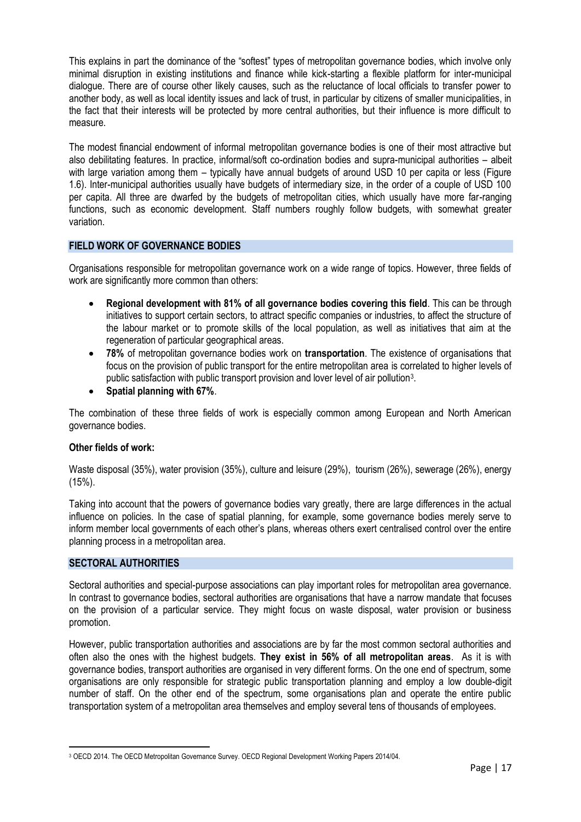This explains in part the dominance of the "softest" types of metropolitan governance bodies, which involve only minimal disruption in existing institutions and finance while kick-starting a flexible platform for inter-municipal dialogue. There are of course other likely causes, such as the reluctance of local officials to transfer power to another body, as well as local identity issues and lack of trust, in particular by citizens of smaller municipalities, in the fact that their interests will be protected by more central authorities, but their influence is more difficult to measure.

The modest financial endowment of informal metropolitan governance bodies is one of their most attractive but also debilitating features. In practice, informal/soft co-ordination bodies and supra-municipal authorities – albeit with large variation among them – typically have annual budgets of around USD 10 per capita or less (Figure 1.6). Inter-municipal authorities usually have budgets of intermediary size, in the order of a couple of USD 100 per capita. All three are dwarfed by the budgets of metropolitan cities, which usually have more far-ranging functions, such as economic development. Staff numbers roughly follow budgets, with somewhat greater variation.

#### **FIELD WORK OF GOVERNANCE BODIES**

Organisations responsible for metropolitan governance work on a wide range of topics. However, three fields of work are significantly more common than others:

- **Regional development with 81% of all governance bodies covering this field**. This can be through initiatives to support certain sectors, to attract specific companies or industries, to affect the structure of the labour market or to promote skills of the local population, as well as initiatives that aim at the regeneration of particular geographical areas.
- **78%** of metropolitan governance bodies work on **transportation**. The existence of organisations that focus on the provision of public transport for the entire metropolitan area is correlated to higher levels of public satisfaction with public transport provision and lover level of air pollution<sup>3</sup>.
- **Spatial planning with 67%**.

The combination of these three fields of work is especially common among European and North American governance bodies.

#### **Other fields of work:**

Waste disposal (35%), water provision (35%), culture and leisure (29%), tourism (26%), sewerage (26%), energy  $(15%)$ .

Taking into account that the powers of governance bodies vary greatly, there are large differences in the actual influence on policies. In the case of spatial planning, for example, some governance bodies merely serve to inform member local governments of each other's plans, whereas others exert centralised control over the entire planning process in a metropolitan area.

#### **SECTORAL AUTHORITIES**

**.** 

Sectoral authorities and special-purpose associations can play important roles for metropolitan area governance. In contrast to governance bodies, sectoral authorities are organisations that have a narrow mandate that focuses on the provision of a particular service. They might focus on waste disposal, water provision or business promotion.

However, public transportation authorities and associations are by far the most common sectoral authorities and often also the ones with the highest budgets. **They exist in 56% of all metropolitan areas**. As it is with governance bodies, transport authorities are organised in very different forms. On the one end of spectrum, some organisations are only responsible for strategic public transportation planning and employ a low double-digit number of staff. On the other end of the spectrum, some organisations plan and operate the entire public transportation system of a metropolitan area themselves and employ several tens of thousands of employees.

<sup>3</sup> OECD 2014. The OECD Metropolitan Governance Survey. OECD Regional Development Working Papers 2014/04.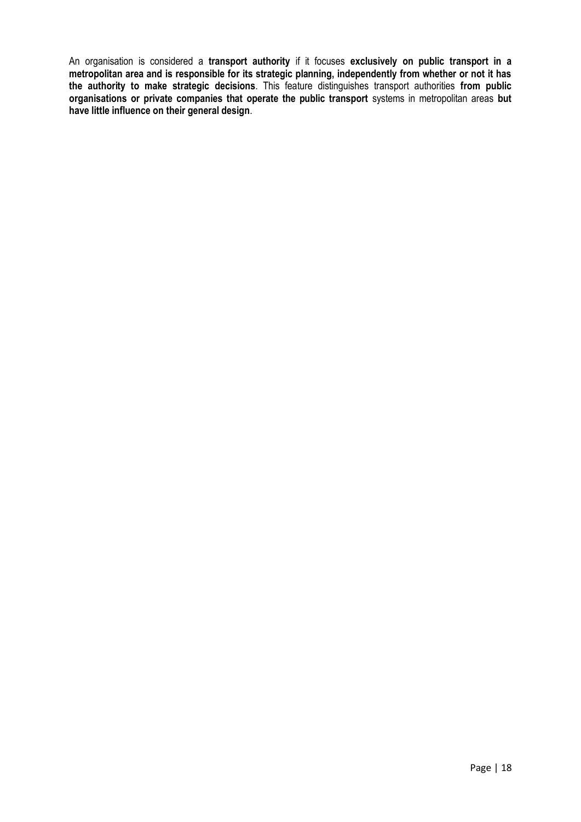An organisation is considered a **transport authority** if it focuses **exclusively on public transport in a metropolitan area and is responsible for its strategic planning, independently from whether or not it has the authority to make strategic decisions**. This feature distinguishes transport authorities **from public organisations or private companies that operate the public transport** systems in metropolitan areas **but have little influence on their general design**.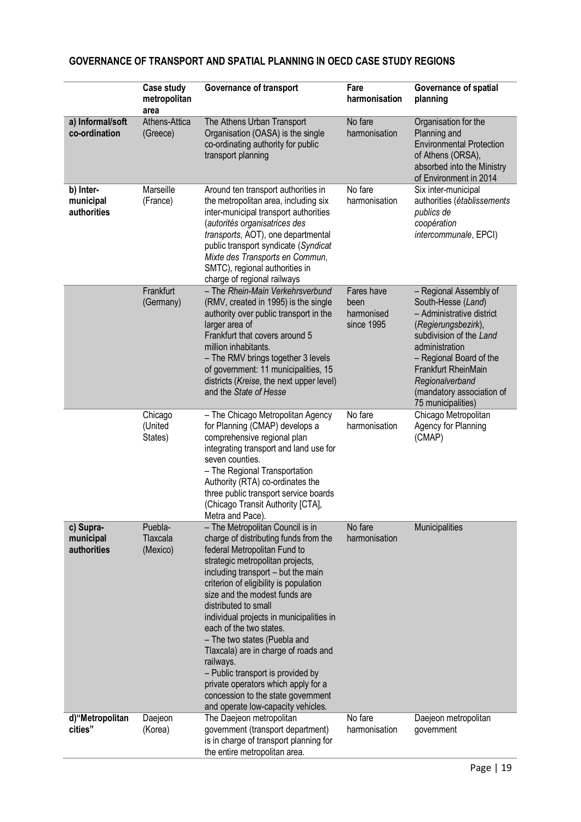|                                       | Case study<br>metropolitan<br>area | Governance of transport                                                                                                                                                                                                                                                                                                                                                                                                                                                                                                                                                                                    | Fare<br>harmonisation                          | Governance of spatial<br>planning                                                                                                                                                                                                                                     |
|---------------------------------------|------------------------------------|------------------------------------------------------------------------------------------------------------------------------------------------------------------------------------------------------------------------------------------------------------------------------------------------------------------------------------------------------------------------------------------------------------------------------------------------------------------------------------------------------------------------------------------------------------------------------------------------------------|------------------------------------------------|-----------------------------------------------------------------------------------------------------------------------------------------------------------------------------------------------------------------------------------------------------------------------|
| a) Informal/soft<br>co-ordination     | Athens-Attica<br>(Greece)          | The Athens Urban Transport<br>Organisation (OASA) is the single<br>co-ordinating authority for public<br>transport planning                                                                                                                                                                                                                                                                                                                                                                                                                                                                                | No fare<br>harmonisation                       | Organisation for the<br>Planning and<br><b>Environmental Protection</b><br>of Athens (ORSA),<br>absorbed into the Ministry<br>of Environment in 2014                                                                                                                  |
| b) Inter-<br>municipal<br>authorities | Marseille<br>(France)              | Around ten transport authorities in<br>the metropolitan area, including six<br>inter-municipal transport authorities<br>(autorités organisatrices des<br>transports, AOT), one departmental<br>public transport syndicate (Syndicat<br>Mixte des Transports en Commun,<br>SMTC), regional authorities in<br>charge of regional railways                                                                                                                                                                                                                                                                    | No fare<br>harmonisation                       | Six inter-municipal<br>authorities (établissements<br>publics de<br>coopération<br>intercommunale, EPCI)                                                                                                                                                              |
|                                       | Frankfurt<br>(Germany)             | - The Rhein-Main Verkehrsverbund<br>(RMV, created in 1995) is the single<br>authority over public transport in the<br>larger area of<br>Frankfurt that covers around 5<br>million inhabitants.<br>- The RMV brings together 3 levels<br>of government: 11 municipalities, 15<br>districts (Kreise, the next upper level)<br>and the State of Hesse                                                                                                                                                                                                                                                         | Fares have<br>been<br>harmonised<br>since 1995 | - Regional Assembly of<br>South-Hesse (Land)<br>- Administrative district<br>(Regierungsbezirk),<br>subdivision of the Land<br>administration<br>- Regional Board of the<br>Frankfurt RheinMain<br>Regionalverband<br>(mandatory association of<br>75 municipalities) |
|                                       | Chicago<br>(United<br>States)      | - The Chicago Metropolitan Agency<br>for Planning (CMAP) develops a<br>comprehensive regional plan<br>integrating transport and land use for<br>seven counties.<br>- The Regional Transportation<br>Authority (RTA) co-ordinates the<br>three public transport service boards<br>(Chicago Transit Authority [CTA],<br>Metra and Pace).                                                                                                                                                                                                                                                                     | No fare<br>harmonisation                       | Chicago Metropolitan<br>Agency for Planning<br>(CMAP)                                                                                                                                                                                                                 |
| c) Supra-<br>municipal<br>authorities | Puebla-<br>Tlaxcala<br>(Mexico)    | - The Metropolitan Council is in<br>charge of distributing funds from the<br>federal Metropolitan Fund to<br>strategic metropolitan projects,<br>including transport - but the main<br>criterion of eligibility is population<br>size and the modest funds are<br>distributed to small<br>individual projects in municipalities in<br>each of the two states.<br>- The two states (Puebla and<br>Tlaxcala) are in charge of roads and<br>railways.<br>- Public transport is provided by<br>private operators which apply for a<br>concession to the state government<br>and operate low-capacity vehicles. | No fare<br>harmonisation                       | Municipalities                                                                                                                                                                                                                                                        |
| d)"Metropolitan<br>cities"            | Daejeon<br>(Korea)                 | The Daejeon metropolitan<br>government (transport department)<br>is in charge of transport planning for<br>the entire metropolitan area.                                                                                                                                                                                                                                                                                                                                                                                                                                                                   | No fare<br>harmonisation                       | Daejeon metropolitan<br>government                                                                                                                                                                                                                                    |

# <span id="page-18-0"></span>**GOVERNANCE OF TRANSPORT AND SPATIAL PLANNING IN OECD CASE STUDY REGIONS**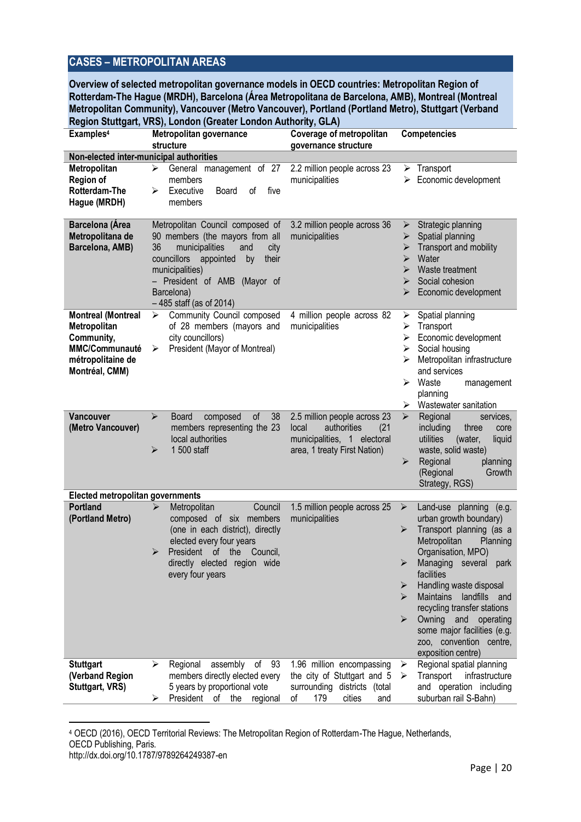# <span id="page-19-0"></span>**CASES – METROPOLITAN AREAS**

<span id="page-19-1"></span>**Overview of selected metropolitan governance models in OECD countries: Metropolitan Region of Rotterdam-The Hague (MRDH), Barcelona (Área Metropolitana de Barcelona, AMB), Montreal (Montreal Metropolitan Community), Vancouver (Metro Vancouver), Portland (Portland Metro), Stuttgart (Verband Region Stuttgart, VRS), London (Greater London Authority, GLA)**

| Examples <sup>4</sup>                                                                                                          | Metropolitan governance                                                                                                                                                                                                                                                    | Coverage of metropolitan                                                                                                    | Competencies                                                                                                                                                                                                                                                                                                                                                                                                            |  |
|--------------------------------------------------------------------------------------------------------------------------------|----------------------------------------------------------------------------------------------------------------------------------------------------------------------------------------------------------------------------------------------------------------------------|-----------------------------------------------------------------------------------------------------------------------------|-------------------------------------------------------------------------------------------------------------------------------------------------------------------------------------------------------------------------------------------------------------------------------------------------------------------------------------------------------------------------------------------------------------------------|--|
|                                                                                                                                | structure                                                                                                                                                                                                                                                                  | governance structure                                                                                                        |                                                                                                                                                                                                                                                                                                                                                                                                                         |  |
| Non-elected inter-municipal authorities<br>Metropolitan<br><b>Region of</b><br>Rotterdam-The<br>Hague (MRDH)                   | $\triangleright$ General management of 27<br>members<br>five<br>➤<br>Executive<br>of<br>Board<br>members                                                                                                                                                                   | 2.2 million people across 23<br>municipalities                                                                              | $\triangleright$ Transport<br>Economic development<br>⋗                                                                                                                                                                                                                                                                                                                                                                 |  |
| <b>Barcelona (Area</b><br>Metropolitana de<br>Barcelona, AMB)                                                                  | Metropolitan Council composed of 3.2 million people across 36<br>90 members (the mayors from all<br>36<br>municipalities<br>and<br>city<br>councillors appointed by<br>their<br>municipalities)<br>- President of AMB (Mayor of<br>Barcelona)<br>$-485$ staff (as of 2014) | municipalities                                                                                                              | $\blacktriangleright$<br>Strategic planning<br>Spatial planning<br>$\blacktriangleright$<br>Transport and mobility<br>➤<br>Water<br>➤<br>Waste treatment<br>⋗<br>Social cohesion<br>➤<br>Economic development<br>⋗                                                                                                                                                                                                      |  |
| <b>Montreal (Montreal</b><br><b>Metropolitan</b><br>Community,<br><b>MMC/Communauté</b><br>métropolitaine de<br>Montréal, CMM) | > Community Council composed<br>of 28 members (mayors and<br>city councillors)<br>$\triangleright$ President (Mayor of Montreal)                                                                                                                                           | 4 million people across 82<br>municipalities                                                                                | Spatial planning<br>≻<br>Transport<br>≻<br>Economic development<br>➤<br>Social housing<br>➤<br>Metropolitan infrastructure<br>and services<br>Waste<br>➤<br>management<br>planning<br>$\triangleright$ Wastewater sanitation                                                                                                                                                                                            |  |
| Vancouver<br>(Metro Vancouver)                                                                                                 | 38<br>$\blacktriangleright$<br>Board composed<br>of<br>members representing the 23<br>local authorities<br>➤<br>1 500 staff                                                                                                                                                | 2.5 million people across 23<br>authorities<br>local<br>(21)<br>municipalities, 1 electoral<br>area, 1 treaty First Nation) | $\blacktriangleright$<br>Regional<br>services,<br>including<br>three<br>core<br>(water,<br>utilities<br>liquid<br>waste, solid waste)<br>Regional<br>planning<br>➤<br>(Regional<br>Growth<br>Strategy, RGS)                                                                                                                                                                                                             |  |
| Elected metropolitan governments                                                                                               |                                                                                                                                                                                                                                                                            |                                                                                                                             |                                                                                                                                                                                                                                                                                                                                                                                                                         |  |
| <b>Portland</b><br>(Portland Metro)                                                                                            | $\blacktriangleright$<br>Metropolitan<br>Council<br>composed of six members<br>(one in each district), directly<br>elected every four years<br>President of the Council,<br>➤<br>directly elected region wide<br>every four years                                          | 1.5 million people across 25<br>municipalities                                                                              | Land-use planning (e.g.<br>$\blacktriangleright$<br>urban growth boundary)<br>Transport planning (as a<br>➤<br>Metropolitan Planning<br>Organisation, MPO)<br>Managing several park<br>facilities<br>Handling waste disposal<br>➤<br>landfills and<br><b>Maintains</b><br>⋗<br>recycling transfer stations<br>Owning and operating<br>➤<br>some major facilities (e.g.<br>zoo, convention centre,<br>exposition centre) |  |
| <b>Stuttgart</b><br>(Verband Region<br>Stuttgart, VRS)                                                                         | ➤<br>assembly<br>93<br>Regional<br>of<br>members directly elected every<br>5 years by proportional vote<br>President of the regional<br>➤                                                                                                                                  | 1.96 million encompassing<br>the city of Stuttgart and 5<br>surrounding districts (total<br>179<br>cities<br>οf<br>and      | Regional spatial planning<br>➤<br>Transport infrastructure<br>➤<br>and operation including<br>suburban rail S-Bahn)                                                                                                                                                                                                                                                                                                     |  |

**<sup>.</sup>** <sup>4</sup> OECD (2016), OECD Territorial Reviews: The Metropolitan Region of Rotterdam-The Hague, Netherlands, OECD Publishing, Paris.

http://dx.doi.org/10.1787/9789264249387-en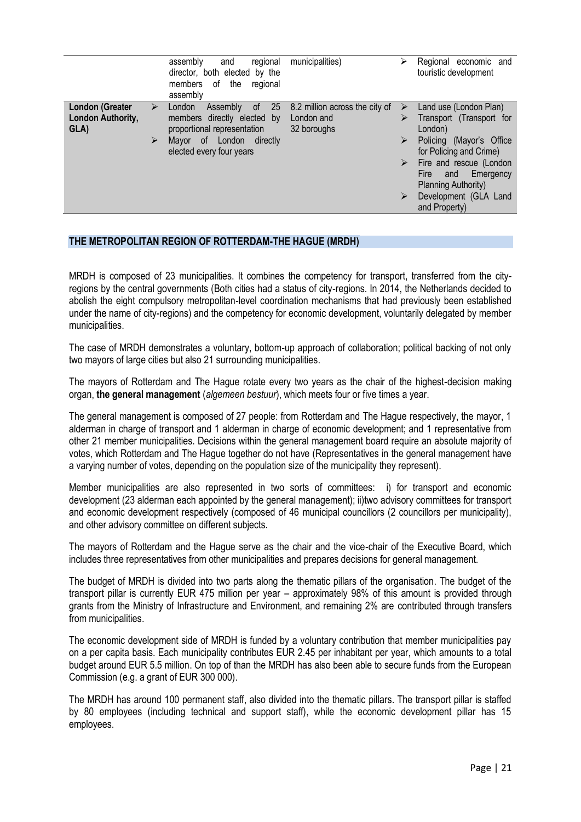|                                                               | assembly<br>regional<br>and<br>director, both elected by the<br>members<br>0f<br>the<br>regional<br>assembly                                            | municipalities)                                             | ⋗                     | Regional economic and<br>touristic development                                                                                                                                                                                                      |
|---------------------------------------------------------------|---------------------------------------------------------------------------------------------------------------------------------------------------------|-------------------------------------------------------------|-----------------------|-----------------------------------------------------------------------------------------------------------------------------------------------------------------------------------------------------------------------------------------------------|
| <b>London (Greater</b><br>⋗<br>London Authority,<br>GLA)<br>➤ | 25<br>0f<br>London<br>Assembly<br>members directly elected by<br>proportional representation<br>Mayor of London<br>directly<br>elected every four years | 8.2 million across the city of<br>London and<br>32 boroughs | ➤<br>⋗<br>⋗<br>➤<br>⋗ | Land use (London Plan)<br>Transport (Transport for<br>London)<br>Policing (Mayor's Office<br>for Policing and Crime)<br>Fire and rescue (London<br>Emergency<br><b>Fire</b><br>and<br>Planning Authority)<br>Development (GLA Land<br>and Property) |

#### <span id="page-20-0"></span>**THE METROPOLITAN REGION OF ROTTERDAM-THE HAGUE (MRDH)**

MRDH is composed of 23 municipalities. It combines the competency for transport, transferred from the cityregions by the central governments (Both cities had a status of city-regions. In 2014, the Netherlands decided to abolish the eight compulsory metropolitan-level coordination mechanisms that had previously been established under the name of city-regions) and the competency for economic development, voluntarily delegated by member municipalities.

The case of MRDH demonstrates a voluntary, bottom-up approach of collaboration; political backing of not only two mayors of large cities but also 21 surrounding municipalities.

The mayors of Rotterdam and The Hague rotate every two years as the chair of the highest-decision making organ, **the general management** (*algemeen bestuur*), which meets four or five times a year.

The general management is composed of 27 people: from Rotterdam and The Hague respectively, the mayor, 1 alderman in charge of transport and 1 alderman in charge of economic development; and 1 representative from other 21 member municipalities. Decisions within the general management board require an absolute majority of votes, which Rotterdam and The Hague together do not have (Representatives in the general management have a varying number of votes, depending on the population size of the municipality they represent).

Member municipalities are also represented in two sorts of committees: i) for transport and economic development (23 alderman each appointed by the general management); ii)two advisory committees for transport and economic development respectively (composed of 46 municipal councillors (2 councillors per municipality), and other advisory committee on different subjects.

The mayors of Rotterdam and the Hague serve as the chair and the vice-chair of the Executive Board, which includes three representatives from other municipalities and prepares decisions for general management.

The budget of MRDH is divided into two parts along the thematic pillars of the organisation. The budget of the transport pillar is currently EUR 475 million per year – approximately 98% of this amount is provided through grants from the Ministry of Infrastructure and Environment, and remaining 2% are contributed through transfers from municipalities.

The economic development side of MRDH is funded by a voluntary contribution that member municipalities pay on a per capita basis. Each municipality contributes EUR 2.45 per inhabitant per year, which amounts to a total budget around EUR 5.5 million. On top of than the MRDH has also been able to secure funds from the European Commission (e.g. a grant of EUR 300 000).

The MRDH has around 100 permanent staff, also divided into the thematic pillars. The transport pillar is staffed by 80 employees (including technical and support staff), while the economic development pillar has 15 employees.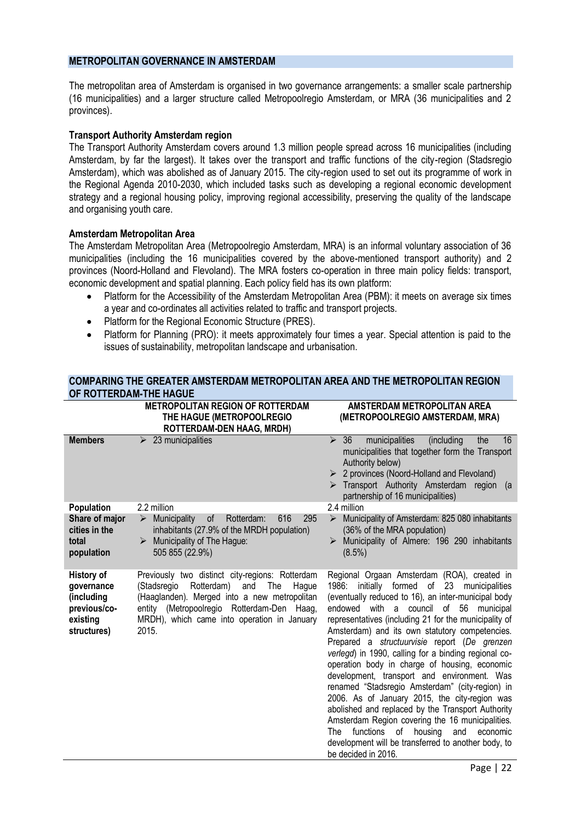#### <span id="page-21-0"></span>**METROPOLITAN GOVERNANCE IN AMSTERDAM**

The metropolitan area of Amsterdam is organised in two governance arrangements: a smaller scale partnership (16 municipalities) and a larger structure called Metropoolregio Amsterdam, or MRA (36 municipalities and 2 provinces).

#### **Transport Authority Amsterdam region**

The Transport Authority Amsterdam covers around 1.3 million people spread across 16 municipalities (including Amsterdam, by far the largest). It takes over the transport and traffic functions of the city-region (Stadsregio Amsterdam), which was abolished as of January 2015. The city-region used to set out its programme of work in the Regional Agenda 2010-2030, which included tasks such as developing a regional economic development strategy and a regional housing policy, improving regional accessibility, preserving the quality of the landscape and organising youth care.

#### **Amsterdam Metropolitan Area**

The Amsterdam Metropolitan Area (Metropoolregio Amsterdam, MRA) is an informal voluntary association of 36 municipalities (including the 16 municipalities covered by the above-mentioned transport authority) and 2 provinces (Noord-Holland and Flevoland). The MRA fosters co-operation in three main policy fields: transport, economic development and spatial planning. Each policy field has its own platform:

- Platform for the Accessibility of the Amsterdam Metropolitan Area (PBM): it meets on average six times a year and co-ordinates all activities related to traffic and transport projects.
- Platform for the Regional Economic Structure (PRES).
- Platform for Planning (PRO): it meets approximately four times a year. Special attention is paid to the issues of sustainability, metropolitan landscape and urbanisation.

#### <span id="page-21-1"></span>**COMPARING THE GREATER AMSTERDAM METROPOLITAN AREA AND THE METROPOLITAN REGION OF ROTTERDAM-THE HAGUE**

|                                                                                          | <b>METROPOLITAN REGION OF ROTTERDAM</b><br>THE HAGUE (METROPOOLREGIO<br><b>ROTTERDAM-DEN HAAG, MRDH)</b>                                                                                                                                                  | AMSTERDAM METROPOLITAN AREA<br>(METROPOOLREGIO AMSTERDAM, MRA)                                                                                                                                                                                                                                                                                                                                                                                                                                                                                                                                                                                                                                                                                                                                                                                                       |  |  |  |
|------------------------------------------------------------------------------------------|-----------------------------------------------------------------------------------------------------------------------------------------------------------------------------------------------------------------------------------------------------------|----------------------------------------------------------------------------------------------------------------------------------------------------------------------------------------------------------------------------------------------------------------------------------------------------------------------------------------------------------------------------------------------------------------------------------------------------------------------------------------------------------------------------------------------------------------------------------------------------------------------------------------------------------------------------------------------------------------------------------------------------------------------------------------------------------------------------------------------------------------------|--|--|--|
| <b>Members</b>                                                                           | $\geq 23$ municipalities                                                                                                                                                                                                                                  | 16 <sup>1</sup><br>36<br>municipalities<br>the<br>➤<br>(including)<br>municipalities that together form the Transport<br>Authority below)<br>$\triangleright$ 2 provinces (Noord-Holland and Flevoland)<br>$\triangleright$ Transport Authority Amsterdam region (a<br>partnership of 16 municipalities)                                                                                                                                                                                                                                                                                                                                                                                                                                                                                                                                                             |  |  |  |
| Population                                                                               | 2.2 million                                                                                                                                                                                                                                               | 2.4 million                                                                                                                                                                                                                                                                                                                                                                                                                                                                                                                                                                                                                                                                                                                                                                                                                                                          |  |  |  |
| Share of major<br>cities in the<br>total<br>population                                   | $\triangleright$ Municipality<br>of<br>Rotterdam:<br>616<br>295<br>inhabitants (27.9% of the MRDH population)<br>$\triangleright$ Municipality of The Hague:<br>505 855 (22.9%)                                                                           | Municipality of Amsterdam: 825 080 inhabitants<br>≻<br>(36% of the MRA population)<br>Municipality of Almere: 196 290 inhabitants<br>$(8.5\%)$                                                                                                                                                                                                                                                                                                                                                                                                                                                                                                                                                                                                                                                                                                                       |  |  |  |
| <b>History of</b><br>qovernance<br>(including<br>previous/co-<br>existing<br>structures) | Previously two distinct city-regions: Rotterdam<br>The<br>(Stadsregio<br>Rotterdam)<br>and<br>Hague<br>(Haaglanden). Merged into a new metropolitan<br>entity (Metropoolregio Rotterdam-Den Haag,<br>MRDH), which came into operation in January<br>2015. | Regional Orgaan Amsterdam (ROA), created in<br>initially formed of 23<br>1986:<br>municipalities<br>(eventually reduced to 16), an inter-municipal body<br>endowed with a council of 56 municipal<br>representatives (including 21 for the municipality of<br>Amsterdam) and its own statutory competencies.<br>Prepared a structuurvisie report (De grenzen<br>verlegd) in 1990, calling for a binding regional co-<br>operation body in charge of housing, economic<br>development, transport and environment. Was<br>renamed "Stadsregio Amsterdam" (city-region) in<br>2006. As of January 2015, the city-region was<br>abolished and replaced by the Transport Authority<br>Amsterdam Region covering the 16 municipalities.<br>functions<br>of housing<br>and<br>The<br>economic<br>development will be transferred to another body, to<br>be decided in 2016. |  |  |  |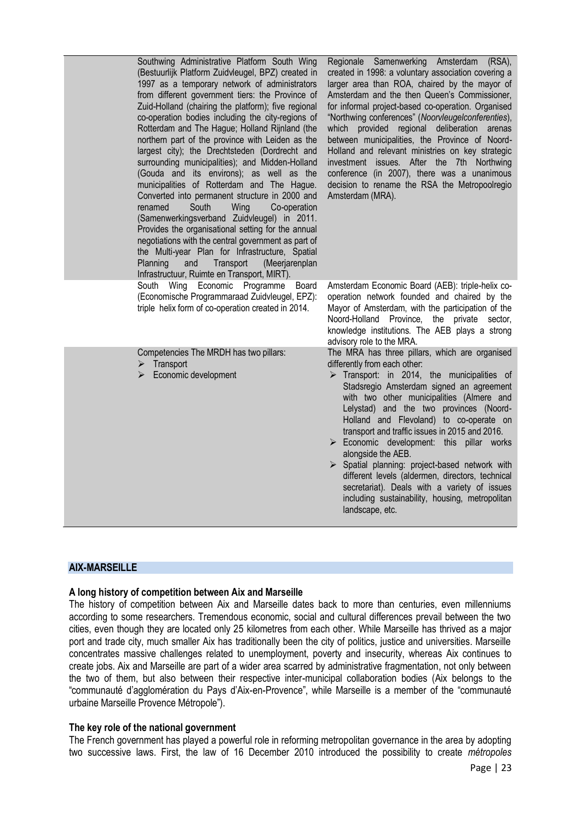| Southwing Administrative Platform South Wing<br>(Bestuurlijk Platform Zuidvleugel, BPZ) created in<br>1997 as a temporary network of administrators<br>from different government tiers: the Province of<br>Zuid-Holland (chairing the platform); five regional<br>co-operation bodies including the city-regions of<br>Rotterdam and The Hague; Holland Rijnland (the<br>northern part of the province with Leiden as the<br>largest city); the Drechtsteden (Dordrecht and<br>surrounding municipalities); and Midden-Holland<br>(Gouda and its environs); as well as the<br>municipalities of Rotterdam and The Hague.<br>Converted into permanent structure in 2000 and<br>South<br>Wing<br>renamed<br>Co-operation<br>(Samenwerkingsverband Zuidvleugel) in 2011.<br>Provides the organisational setting for the annual<br>negotiations with the central government as part of<br>the Multi-year Plan for Infrastructure, Spatial<br>Planning<br>and<br>Transport<br>(Meerjarenplan<br>Infrastructuur, Ruimte en Transport, MIRT). | Regionale Samenwerking Amsterdam<br>$(RSA)$ ,<br>created in 1998: a voluntary association covering a<br>larger area than ROA, chaired by the mayor of<br>Amsterdam and the then Queen's Commissioner,<br>for informal project-based co-operation. Organised<br>"Northwing conferences" (Noorvleugelconferenties),<br>which<br>provided regional deliberation arenas<br>between municipalities, the Province of Noord-<br>Holland and relevant ministries on key strategic<br>investment issues. After the 7th Northwing<br>conference (in 2007), there was a unanimous<br>decision to rename the RSA the Metropoolregio<br>Amsterdam (MRA).                                                 |
|----------------------------------------------------------------------------------------------------------------------------------------------------------------------------------------------------------------------------------------------------------------------------------------------------------------------------------------------------------------------------------------------------------------------------------------------------------------------------------------------------------------------------------------------------------------------------------------------------------------------------------------------------------------------------------------------------------------------------------------------------------------------------------------------------------------------------------------------------------------------------------------------------------------------------------------------------------------------------------------------------------------------------------------|---------------------------------------------------------------------------------------------------------------------------------------------------------------------------------------------------------------------------------------------------------------------------------------------------------------------------------------------------------------------------------------------------------------------------------------------------------------------------------------------------------------------------------------------------------------------------------------------------------------------------------------------------------------------------------------------|
| Economic<br>Programme<br>South<br>Wing<br>Board<br>(Economische Programmaraad Zuidvleugel, EPZ):<br>triple helix form of co-operation created in 2014.                                                                                                                                                                                                                                                                                                                                                                                                                                                                                                                                                                                                                                                                                                                                                                                                                                                                                 | Amsterdam Economic Board (AEB): triple-helix co-<br>operation network founded and chaired by the<br>Mayor of Amsterdam, with the participation of the<br>Noord-Holland Province, the private<br>sector,<br>knowledge institutions. The AEB plays a strong<br>advisory role to the MRA.                                                                                                                                                                                                                                                                                                                                                                                                      |
| Competencies The MRDH has two pillars:<br>$\triangleright$ Transport<br>Economic development<br>➤                                                                                                                                                                                                                                                                                                                                                                                                                                                                                                                                                                                                                                                                                                                                                                                                                                                                                                                                      | The MRA has three pillars, which are organised<br>differently from each other:<br>$\triangleright$ Transport: in 2014, the municipalities of<br>Stadsregio Amsterdam signed an agreement<br>with two other municipalities (Almere and<br>Lelystad) and the two provinces (Noord-<br>Holland and Flevoland) to co-operate on<br>transport and traffic issues in 2015 and 2016.<br>$\triangleright$ Economic development: this pillar works<br>alongside the AEB.<br>> Spatial planning: project-based network with<br>different levels (aldermen, directors, technical<br>secretariat). Deals with a variety of issues<br>including sustainability, housing, metropolitan<br>landscape, etc. |

#### <span id="page-22-0"></span>**AIX-MARSEILLE**

#### **A long history of competition between Aix and Marseille**

The history of competition between Aix and Marseille dates back to more than centuries, even millenniums according to some researchers. Tremendous economic, social and cultural differences prevail between the two cities, even though they are located only 25 kilometres from each other. While Marseille has thrived as a major port and trade city, much smaller Aix has traditionally been the city of politics, justice and universities. Marseille concentrates massive challenges related to unemployment, poverty and insecurity, whereas Aix continues to create jobs. Aix and Marseille are part of a wider area scarred by administrative fragmentation, not only between the two of them, but also between their respective inter-municipal collaboration bodies (Aix belongs to the "communauté d'agglomération du Pays d'Aix-en-Provence", while Marseille is a member of the "communauté urbaine Marseille Provence Métropole").

#### **The key role of the national government**

The French government has played a powerful role in reforming metropolitan governance in the area by adopting two successive laws. First, the law of 16 December 2010 introduced the possibility to create *métropoles*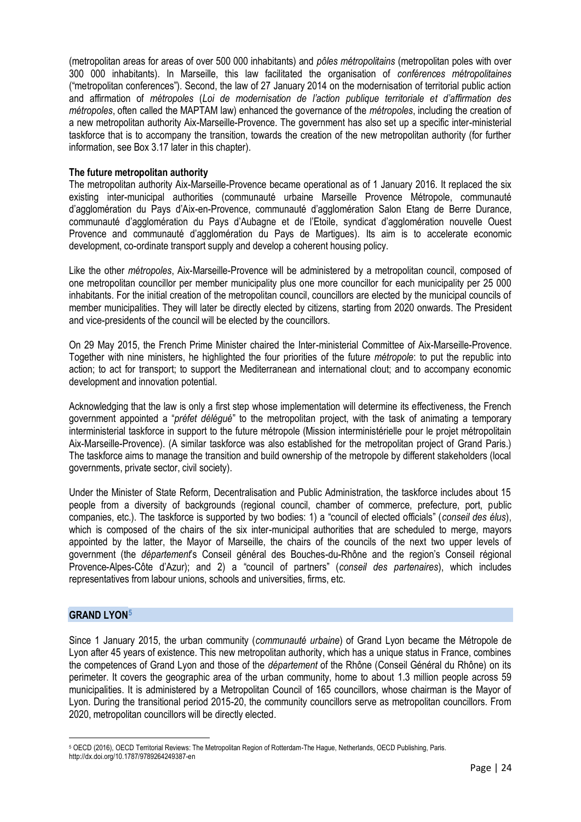(metropolitan areas for areas of over 500 000 inhabitants) and *pôles métropolitains* (metropolitan poles with over 300 000 inhabitants). In Marseille, this law facilitated the organisation of *conférences métropolitaines*  ("metropolitan conferences"). Second, the law of 27 January 2014 on the modernisation of territorial public action and affirmation of *métropoles* (*Loi de modernisation de l'action publique territoriale et d'affirmation des métropoles*, often called the MAPTAM law) enhanced the governance of the *métropoles*, including the creation of a new metropolitan authority Aix-Marseille-Provence. The government has also set up a specific inter-ministerial taskforce that is to accompany the transition, towards the creation of the new metropolitan authority (for further information, see Box 3.17 later in this chapter).

#### **The future metropolitan authority**

The metropolitan authority Aix-Marseille-Provence became operational as of 1 January 2016. It replaced the six existing inter-municipal authorities (communauté urbaine Marseille Provence Métropole, communauté d'agglomération du Pays d'Aix-en-Provence, communauté d'agglomération Salon Etang de Berre Durance, communauté d'agglomération du Pays d'Aubagne et de l'Etoile, syndicat d'agglomération nouvelle Ouest Provence and communauté d'agglomération du Pays de Martigues). Its aim is to accelerate economic development, co-ordinate transport supply and develop a coherent housing policy.

Like the other *métropoles*, Aix-Marseille-Provence will be administered by a metropolitan council, composed of one metropolitan councillor per member municipality plus one more councillor for each municipality per 25 000 inhabitants. For the initial creation of the metropolitan council, councillors are elected by the municipal councils of member municipalities. They will later be directly elected by citizens, starting from 2020 onwards. The President and vice-presidents of the council will be elected by the councillors.

On 29 May 2015, the French Prime Minister chaired the Inter-ministerial Committee of Aix-Marseille-Provence. Together with nine ministers, he highlighted the four priorities of the future *métropole*: to put the republic into action; to act for transport; to support the Mediterranean and international clout; and to accompany economic development and innovation potential.

Acknowledging that the law is only a first step whose implementation will determine its effectiveness, the French government appointed a "*préfet délégué*" to the metropolitan project, with the task of animating a temporary interministerial taskforce in support to the future métropole (Mission interministérielle pour le projet métropolitain Aix-Marseille-Provence). (A similar taskforce was also established for the metropolitan project of Grand Paris.) The taskforce aims to manage the transition and build ownership of the metropole by different stakeholders (local governments, private sector, civil society).

Under the Minister of State Reform, Decentralisation and Public Administration, the taskforce includes about 15 people from a diversity of backgrounds (regional council, chamber of commerce, prefecture, port, public companies, etc.). The taskforce is supported by two bodies: 1) a "council of elected officials" (*conseil des élus*), which is composed of the chairs of the six inter-municipal authorities that are scheduled to merge, mayors appointed by the latter, the Mayor of Marseille, the chairs of the councils of the next two upper levels of government (the *département*'s Conseil général des Bouches-du-Rhône and the region's Conseil régional Provence-Alpes-Côte d'Azur); and 2) a "council of partners" (*conseil des partenaires*), which includes representatives from labour unions, schools and universities, firms, etc.

#### <span id="page-23-0"></span>**GRAND LYON<sup>5</sup>**

Since 1 January 2015, the urban community (*communauté urbaine*) of Grand Lyon became the Métropole de Lyon after 45 years of existence. This new metropolitan authority, which has a unique status in France, combines the competences of Grand Lyon and those of the *département* of the Rhône (Conseil Général du Rhône) on its perimeter. It covers the geographic area of the urban community, home to about 1.3 million people across 59 municipalities. It is administered by a Metropolitan Council of 165 councillors, whose chairman is the Mayor of Lyon. During the transitional period 2015-20, the community councillors serve as metropolitan councillors. From 2020, metropolitan councillors will be directly elected.

<sup>-</sup><sup>5</sup> OECD (2016), OECD Territorial Reviews: The Metropolitan Region of Rotterdam-The Hague, Netherlands, OECD Publishing, Paris. http://dx.doi.org/10.1787/9789264249387-en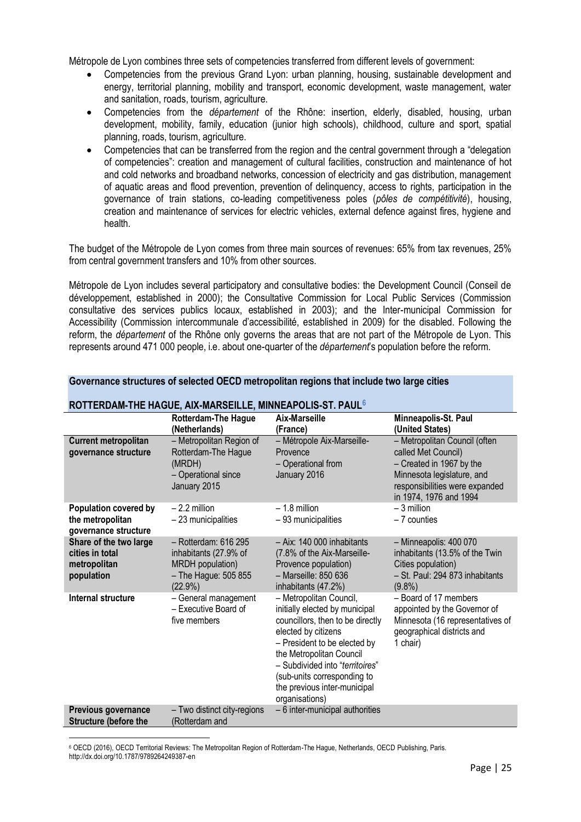Métropole de Lyon combines three sets of competencies transferred from different levels of government:

- Competencies from the previous Grand Lyon: urban planning, housing, sustainable development and energy, territorial planning, mobility and transport, economic development, waste management, water and sanitation, roads, tourism, agriculture.
- Competencies from the *département* of the Rhône: insertion, elderly, disabled, housing, urban development, mobility, family, education (junior high schools), childhood, culture and sport, spatial planning, roads, tourism, agriculture.
- Competencies that can be transferred from the region and the central government through a "delegation of competencies": creation and management of cultural facilities, construction and maintenance of hot and cold networks and broadband networks, concession of electricity and gas distribution, management of aquatic areas and flood prevention, prevention of delinquency, access to rights, participation in the governance of train stations, co-leading competitiveness poles (*pôles de compétitivité*), housing, creation and maintenance of services for electric vehicles, external defence against fires, hygiene and health.

The budget of the Métropole de Lyon comes from three main sources of revenues: 65% from tax revenues, 25% from central government transfers and 10% from other sources.

Métropole de Lyon includes several participatory and consultative bodies: the Development Council (Conseil de développement, established in 2000); the Consultative Commission for Local Public Services (Commission consultative des services publics locaux, established in 2003); and the Inter-municipal Commission for Accessibility (Commission intercommunale d'accessibilité, established in 2009) for the disabled. Following the reform, the *département* of the Rhône only governs the areas that are not part of the Métropole de Lyon. This represents around 471 000 people, i.e. about one-quarter of the *département*'s population before the reform.

| <u>IVI ILIVAMI IIIL IIAVVL, AIA MAIVLILLE, MIIIILAI VLIV-VII I AVL</u>  |                                                                                                           |                                                                                                                                                                                                                                                                                                      |                                                                                                                                                                            |
|-------------------------------------------------------------------------|-----------------------------------------------------------------------------------------------------------|------------------------------------------------------------------------------------------------------------------------------------------------------------------------------------------------------------------------------------------------------------------------------------------------------|----------------------------------------------------------------------------------------------------------------------------------------------------------------------------|
|                                                                         | <b>Rotterdam-The Hague</b>                                                                                | Aix-Marseille                                                                                                                                                                                                                                                                                        | Minneapolis-St. Paul                                                                                                                                                       |
|                                                                         | (Netherlands)                                                                                             | (France)                                                                                                                                                                                                                                                                                             | (United States)                                                                                                                                                            |
| <b>Current metropolitan</b><br>governance structure                     | - Metropolitan Region of<br>Rotterdam-The Hague<br>(MRDH)<br>- Operational since<br>January 2015          | - Métropole Aix-Marseille-<br>Provence<br>- Operational from<br>January 2016                                                                                                                                                                                                                         | - Metropolitan Council (often<br>called Met Council)<br>- Created in 1967 by the<br>Minnesota legislature, and<br>responsibilities were expanded<br>in 1974, 1976 and 1994 |
| Population covered by<br>the metropolitan<br>governance structure       | $-2.2$ million<br>- 23 municipalities                                                                     | $-1.8$ million<br>- 93 municipalities                                                                                                                                                                                                                                                                | $-3$ million<br>- 7 counties                                                                                                                                               |
| Share of the two large<br>cities in total<br>metropolitan<br>population | - Rotterdam: 616 295<br>inhabitants (27.9% of<br>MRDH population)<br>$-$ The Hague: 505 855<br>$(22.9\%)$ | - Aix: 140 000 inhabitants<br>(7.8% of the Aix-Marseille-<br>Provence population)<br>- Marseille: 850 636<br>inhabitants (47.2%)                                                                                                                                                                     | - Minneapolis: 400 070<br>inhabitants (13.5% of the Twin<br>Cities population)<br>- St. Paul: 294 873 inhabitants<br>$(9.8\%)$                                             |
| Internal structure                                                      | - General management<br>- Executive Board of<br>five members                                              | - Metropolitan Council,<br>initially elected by municipal<br>councillors, then to be directly<br>elected by citizens<br>- President to be elected by<br>the Metropolitan Council<br>- Subdivided into "territoires"<br>(sub-units corresponding to<br>the previous inter-municipal<br>organisations) | - Board of 17 members<br>appointed by the Governor of<br>Minnesota (16 representatives of<br>geographical districts and<br>1 chair)                                        |
| Previous governance<br><b>Structure (before the</b>                     | - Two distinct city-regions<br>(Rotterdam and                                                             | - 6 inter-municipal authorities                                                                                                                                                                                                                                                                      |                                                                                                                                                                            |

#### <span id="page-24-0"></span>**Governance structures of selected OECD metropolitan regions that include two large cities**

<span id="page-24-1"></span>**ROTTERDAM-THE HAGUE, AIX-MARSEILLE, MINNEAPOLIS-ST. PAUL<sup>6</sup>**

-<sup>6</sup> OECD (2016), OECD Territorial Reviews: The Metropolitan Region of Rotterdam-The Hague, Netherlands, OECD Publishing, Paris. http://dx.doi.org/10.1787/9789264249387-en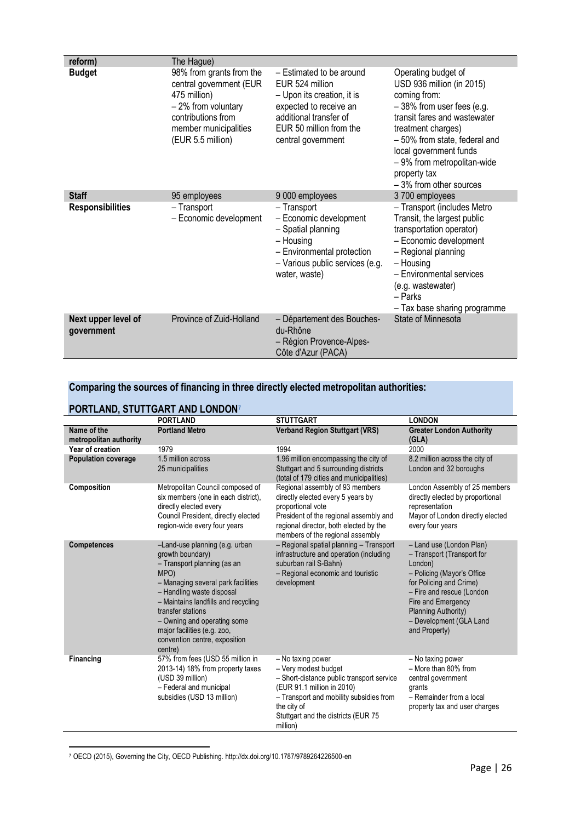| reform)                           | The Hague)                                                                                                                                                     |                                                                                                                                                                                |                                                                                                                                                                                                                                                                                             |
|-----------------------------------|----------------------------------------------------------------------------------------------------------------------------------------------------------------|--------------------------------------------------------------------------------------------------------------------------------------------------------------------------------|---------------------------------------------------------------------------------------------------------------------------------------------------------------------------------------------------------------------------------------------------------------------------------------------|
| <b>Budget</b>                     | 98% from grants from the<br>central government (EUR<br>475 million)<br>- 2% from voluntary<br>contributions from<br>member municipalities<br>(EUR 5.5 million) | - Estimated to be around<br>EUR 524 million<br>- Upon its creation, it is<br>expected to receive an<br>additional transfer of<br>EUR 50 million from the<br>central government | Operating budget of<br>USD 936 million (in 2015)<br>coming from:<br>$-38\%$ from user fees (e.g.<br>transit fares and wastewater<br>treatment charges)<br>- 50% from state, federal and<br>local government funds<br>- 9% from metropolitan-wide<br>property tax<br>- 3% from other sources |
| <b>Staff</b>                      | 95 employees                                                                                                                                                   | 9 000 employees                                                                                                                                                                | 3700 employees                                                                                                                                                                                                                                                                              |
| <b>Responsibilities</b>           | - Transport<br>- Economic development                                                                                                                          | - Transport<br>- Economic development<br>- Spatial planning<br>- Housing<br>- Environmental protection<br>- Various public services (e.g.<br>water, waste)                     | - Transport (includes Metro<br>Transit, the largest public<br>transportation operator)<br>- Economic development<br>- Regional planning<br>- Housing<br>- Environmental services<br>(e.g. wastewater)<br>- Parks<br>- Tax base sharing programme                                            |
| Next upper level of<br>government | Province of Zuid-Holland                                                                                                                                       | - Département des Bouches-<br>du-Rhône<br>- Région Provence-Alpes-<br>Côte d'Azur (PACA)                                                                                       | State of Minnesota                                                                                                                                                                                                                                                                          |

# <span id="page-25-0"></span>**Comparing the sources of financing in three directly elected metropolitan authorities:**

# <span id="page-25-1"></span>**PORTLAND, STUTTGART AND LONDON<sup>7</sup>**

|                                       | <b>PORTLAND</b>                                                                                                                                                                                                                                                                                                                    | <b>STUTTGART</b>                                                                                                                                                                                                                  | <b>LONDON</b>                                                                                                                                                                                                                                           |
|---------------------------------------|------------------------------------------------------------------------------------------------------------------------------------------------------------------------------------------------------------------------------------------------------------------------------------------------------------------------------------|-----------------------------------------------------------------------------------------------------------------------------------------------------------------------------------------------------------------------------------|---------------------------------------------------------------------------------------------------------------------------------------------------------------------------------------------------------------------------------------------------------|
| Name of the<br>metropolitan authority | <b>Portland Metro</b>                                                                                                                                                                                                                                                                                                              | <b>Verband Region Stuttgart (VRS)</b>                                                                                                                                                                                             | <b>Greater London Authority</b><br>(GLA)                                                                                                                                                                                                                |
| Year of creation                      | 1979                                                                                                                                                                                                                                                                                                                               | 1994                                                                                                                                                                                                                              | 2000                                                                                                                                                                                                                                                    |
| <b>Population coverage</b>            | 1.5 million across<br>25 municipalities                                                                                                                                                                                                                                                                                            | 1.96 million encompassing the city of<br>Stuttgart and 5 surrounding districts<br>(total of 179 cities and municipalities)                                                                                                        | 8.2 million across the city of<br>London and 32 boroughs                                                                                                                                                                                                |
| Composition                           | Metropolitan Council composed of<br>six members (one in each district),<br>directly elected every<br>Council President, directly elected<br>region-wide every four years                                                                                                                                                           | Regional assembly of 93 members<br>directly elected every 5 years by<br>proportional vote<br>President of the regional assembly and<br>regional director, both elected by the<br>members of the regional assembly                 | London Assembly of 25 members<br>directly elected by proportional<br>representation<br>Mayor of London directly elected<br>every four years                                                                                                             |
| <b>Competences</b>                    | -Land-use planning (e.g. urban<br>growth boundary)<br>- Transport planning (as an<br>MPO)<br>- Managing several park facilities<br>- Handling waste disposal<br>- Maintains landfills and recycling<br>transfer stations<br>- Owning and operating some<br>major facilities (e.g. zoo,<br>convention centre, exposition<br>centre) | - Regional spatial planning - Transport<br>infrastructure and operation (including<br>suburban rail S-Bahn)<br>- Regional economic and touristic<br>development                                                                   | - Land use (London Plan)<br>- Transport (Transport for<br>London)<br>- Policing (Mayor's Office<br>for Policing and Crime)<br>- Fire and rescue (London<br>Fire and Emergency<br><b>Planning Authority)</b><br>- Development (GLA Land<br>and Property) |
| Financing                             | 57% from fees (USD 55 million in<br>2013-14) 18% from property taxes<br>(USD 39 million)<br>- Federal and municipal<br>subsidies (USD 13 million)                                                                                                                                                                                  | - No taxing power<br>- Very modest budget<br>- Short-distance public transport service<br>(EUR 91.1 million in 2010)<br>- Transport and mobility subsidies from<br>the city of<br>Stuttgart and the districts (EUR 75<br>million) | - No taxing power<br>- More than 80% from<br>central government<br>grants<br>- Remainder from a local<br>property tax and user charges                                                                                                                  |

**.** <sup>7</sup> OECD (2015), Governing the City, OECD Publishing. http://dx.doi.org/10.1787/9789264226500-en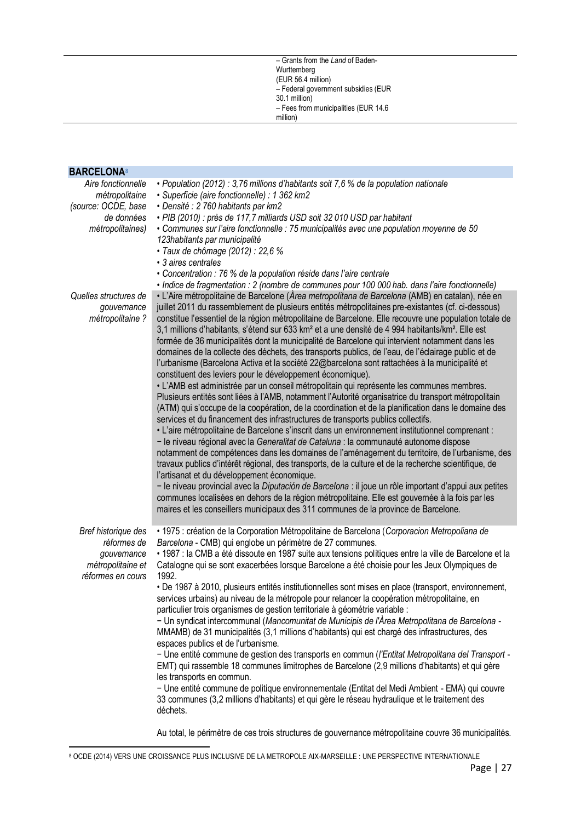– Grants from the *Land* of Baden-Wurttemberg (EUR 56.4 million) – Federal government subsidies (EUR 30.1 million) – Fees from municipalities (EUR 14.6 million)

<span id="page-26-0"></span>

| <b>BARCELONA®</b><br>Aire fonctionnelle | • Population (2012) : 3,76 millions d'habitants soit 7,6 % de la population nationale                                                                                                                                                                                                            |
|-----------------------------------------|--------------------------------------------------------------------------------------------------------------------------------------------------------------------------------------------------------------------------------------------------------------------------------------------------|
| métropolitaine<br>(source: OCDE, base   | · Superficie (aire fonctionnelle) : 1 362 km2<br>· Densité : 2 760 habitants par km2                                                                                                                                                                                                             |
| de données                              | · PIB (2010) : près de 117,7 milliards USD soit 32 010 USD par habitant                                                                                                                                                                                                                          |
| métropolitaines)                        | • Communes sur l'aire fonctionnelle : 75 municipalités avec une population moyenne de 50                                                                                                                                                                                                         |
|                                         | 123habitants par municipalité<br>• Taux de chômage (2012) : 22,6 %                                                                                                                                                                                                                               |
|                                         | · 3 aires centrales                                                                                                                                                                                                                                                                              |
|                                         | • Concentration : 76 % de la population réside dans l'aire centrale                                                                                                                                                                                                                              |
|                                         | • Indice de fragmentation : 2 (nombre de communes pour 100 000 hab. dans l'aire fonctionnelle)                                                                                                                                                                                                   |
| Quelles structures de<br>gouvernance    | • L'Aire métropolitaine de Barcelone (Àrea metropolitana de Barcelona (AMB) en catalan), née en<br>juillet 2011 du rassemblement de plusieurs entités métropolitaines pre-existantes (cf. ci-dessous)                                                                                            |
| métropolitaine ?                        | constitue l'essentiel de la région métropolitaine de Barcelone. Elle recouvre une population totale de<br>3,1 millions d'habitants, s'étend sur 633 km <sup>2</sup> et a une densité de 4 994 habitants/km <sup>2</sup> . Elle est                                                               |
|                                         | formée de 36 municipalités dont la municipalité de Barcelone qui intervient notamment dans les                                                                                                                                                                                                   |
|                                         | domaines de la collecte des déchets, des transports publics, de l'eau, de l'éclairage public et de<br>l'urbanisme (Barcelona Activa et la société 22@barcelona sont rattachées à la municipalité et                                                                                              |
|                                         | constituent des leviers pour le développement économique).                                                                                                                                                                                                                                       |
|                                         | · L'AMB est administrée par un conseil métropolitain qui représente les communes membres.<br>Plusieurs entités sont liées à l'AMB, notamment l'Autorité organisatrice du transport métropolitain                                                                                                 |
|                                         | (ATM) qui s'occupe de la coopération, de la coordination et de la planification dans le domaine des                                                                                                                                                                                              |
|                                         | services et du financement des infrastructures de transports publics collectifs.                                                                                                                                                                                                                 |
|                                         | . L'aire métropolitaine de Barcelone s'inscrit dans un environnement institutionnel comprenant :                                                                                                                                                                                                 |
|                                         | - le niveau régional avec la Generalitat de Cataluna : la communauté autonome dispose<br>notamment de compétences dans les domaines de l'aménagement du territoire, de l'urbanisme, des<br>travaux publics d'intérêt régional, des transports, de la culture et de la recherche scientifique, de |
|                                         | l'artisanat et du développement économique.<br>- le niveau provincial avec la Diputación de Barcelona : il joue un rôle important d'appui aux petites                                                                                                                                            |
|                                         | communes localisées en dehors de la région métropolitaine. Elle est gouvernée à la fois par les                                                                                                                                                                                                  |
|                                         | maires et les conseillers municipaux des 311 communes de la province de Barcelone.                                                                                                                                                                                                               |
| Bref historique des<br>réformes de      | · 1975 : création de la Corporation Métropolitaine de Barcelona (Corporacion Metropoliana de                                                                                                                                                                                                     |
| gouvernance                             | Barcelona - CMB) qui englobe un périmètre de 27 communes.<br>· 1987 : la CMB a été dissoute en 1987 suite aux tensions politiques entre la ville de Barcelone et la                                                                                                                              |
| métropolitaine et<br>réformes en cours  | Catalogne qui se sont exacerbées lorsque Barcelone a été choisie pour les Jeux Olympiques de<br>1992.                                                                                                                                                                                            |
|                                         | · De 1987 à 2010, plusieurs entités institutionnelles sont mises en place (transport, environnement,<br>services urbains) au niveau de la métropole pour relancer la coopération métropolitaine, en<br>particulier trois organismes de gestion territoriale à géométrie variable :               |
|                                         | - Un syndicat intercommunal (Mancomunitat de Municipis de l'Àrea Metropolitana de Barcelona -                                                                                                                                                                                                    |
|                                         | MMAMB) de 31 municipalités (3,1 millions d'habitants) qui est chargé des infrastructures, des<br>espaces publics et de l'urbanisme.                                                                                                                                                              |
|                                         | - Une entité commune de gestion des transports en commun (l'Entitat Metropolitana del Transport -<br>EMT) qui rassemble 18 communes limitrophes de Barcelone (2,9 millions d'habitants) et qui gère                                                                                              |
|                                         | les transports en commun.<br>- Une entité commune de politique environnementale (Entitat del Medi Ambient - EMA) qui couvre                                                                                                                                                                      |
|                                         | 33 communes (3,2 millions d'habitants) et qui gère le réseau hydraulique et le traitement des<br>déchets.                                                                                                                                                                                        |

Au total, le périmètre de ces trois structures de gouvernance métropolitaine couvre 36 municipalités.

**<sup>.</sup>** <sup>8</sup> OCDE (2014) VERS UNE CROISSANCE PLUS INCLUSIVE DE LA METROPOLE AIX-MARSEILLE : UNE PERSPECTIVE INTERNATIONALE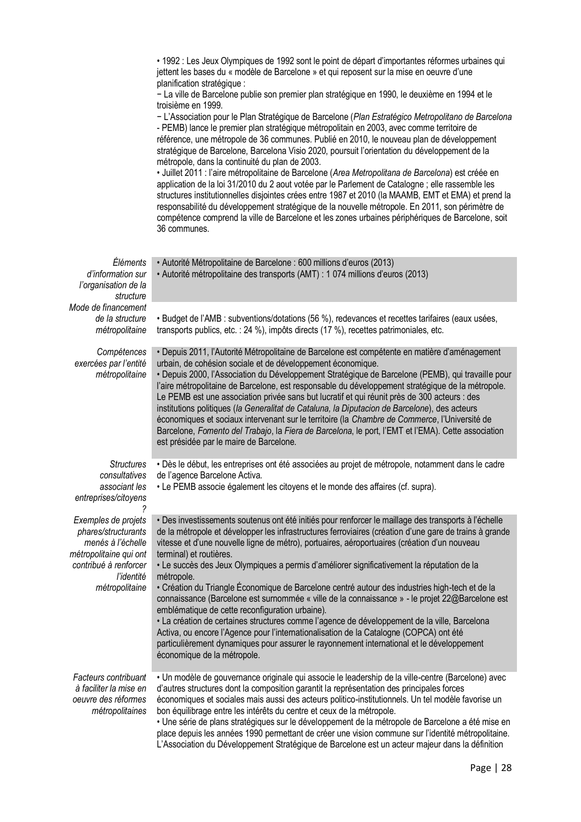|                                                                                                                                                           | • 1992 : Les Jeux Olympiques de 1992 sont le point de départ d'importantes réformes urbaines qui<br>jettent les bases du « modèle de Barcelone » et qui reposent sur la mise en oeuvre d'une<br>planification stratégique :<br>- La ville de Barcelone publie son premier plan stratégique en 1990, le deuxième en 1994 et le<br>troisième en 1999.<br>- L'Association pour le Plan Stratégique de Barcelone (Plan Estratégico Metropolitano de Barcelona<br>- PEMB) lance le premier plan stratégique métropolitain en 2003, avec comme territoire de<br>référence, une métropole de 36 communes. Publié en 2010, le nouveau plan de développement<br>stratégique de Barcelone, Barcelona Visio 2020, poursuit l'orientation du développement de la<br>métropole, dans la continuité du plan de 2003.<br>· Juillet 2011 : l'aire métropolitaine de Barcelone (Area Metropolitana de Barcelona) est créée en<br>application de la loi 31/2010 du 2 aout votée par le Parlement de Catalogne ; elle rassemble les<br>structures institutionnelles disjointes crées entre 1987 et 2010 (la MAAMB, EMT et EMA) et prend la<br>responsabilité du développement stratégique de la nouvelle métropole. En 2011, son périmètre de<br>compétence comprend la ville de Barcelone et les zones urbaines périphériques de Barcelone, soit<br>36 communes. |
|-----------------------------------------------------------------------------------------------------------------------------------------------------------|------------------------------------------------------------------------------------------------------------------------------------------------------------------------------------------------------------------------------------------------------------------------------------------------------------------------------------------------------------------------------------------------------------------------------------------------------------------------------------------------------------------------------------------------------------------------------------------------------------------------------------------------------------------------------------------------------------------------------------------------------------------------------------------------------------------------------------------------------------------------------------------------------------------------------------------------------------------------------------------------------------------------------------------------------------------------------------------------------------------------------------------------------------------------------------------------------------------------------------------------------------------------------------------------------------------------------------------------|
| Éléments<br>d'information sur<br>l'organisation de la<br>structure                                                                                        | • Autorité Métropolitaine de Barcelone : 600 millions d'euros (2013)<br>• Autorité métropolitaine des transports (AMT) : 1 074 millions d'euros (2013)                                                                                                                                                                                                                                                                                                                                                                                                                                                                                                                                                                                                                                                                                                                                                                                                                                                                                                                                                                                                                                                                                                                                                                                         |
| Mode de financement<br>de la structure<br>métropolitaine                                                                                                  | · Budget de l'AMB : subventions/dotations (56 %), redevances et recettes tarifaires (eaux usées,<br>transports publics, etc.: 24 %), impôts directs (17 %), recettes patrimoniales, etc.                                                                                                                                                                                                                                                                                                                                                                                                                                                                                                                                                                                                                                                                                                                                                                                                                                                                                                                                                                                                                                                                                                                                                       |
| Compétences<br>exercées par l'entité<br>métropolitaine                                                                                                    | · Depuis 2011, l'Autorité Métropolitaine de Barcelone est compétente en matière d'aménagement<br>urbain, de cohésion sociale et de développement économique.<br>· Depuis 2000, l'Association du Développement Stratégique de Barcelone (PEMB), qui travaille pour<br>l'aire métropolitaine de Barcelone, est responsable du développement stratégique de la métropole.<br>Le PEMB est une association privée sans but lucratif et qui réunit près de 300 acteurs : des<br>institutions politiques (la Generalitat de Cataluna, la Diputacion de Barcelone), des acteurs<br>économiques et sociaux intervenant sur le territoire (la Chambre de Commerce, l'Université de<br>Barcelone, Fomento del Trabajo, la Fiera de Barcelona, le port, l'EMT et l'EMA). Cette association<br>est présidée par le maire de Barcelone.                                                                                                                                                                                                                                                                                                                                                                                                                                                                                                                      |
| <b>Structures</b><br>consultatives<br>associant les<br>entreprises/citoyens                                                                               | · Dès le début, les entreprises ont été associées au projet de métropole, notamment dans le cadre<br>de l'agence Barcelone Activa.<br>• Le PEMB associe également les citoyens et le monde des affaires (cf. supra).                                                                                                                                                                                                                                                                                                                                                                                                                                                                                                                                                                                                                                                                                                                                                                                                                                                                                                                                                                                                                                                                                                                           |
| Exemples de projets<br>phares/structurants<br>menés à l'échelle<br>métropolitaine qui ont<br>contribué à renforcer<br><i>l'identité</i><br>métropolitaine | • Des investissements soutenus ont été initiés pour renforcer le maillage des transports à l'échelle<br>de la métropole et développer les infrastructures ferroviaires (création d'une gare de trains à grande<br>vitesse et d'une nouvelle ligne de métro), portuaires, aéroportuaires (création d'un nouveau<br>terminal) et routières.<br>· Le succès des Jeux Olympiques a permis d'améliorer significativement la réputation de la<br>métropole.<br>• Création du Triangle Économique de Barcelone centré autour des industries high-tech et de la<br>connaissance (Barcelone est surnommée « ville de la connaissance » - le projet 22@Barcelone est<br>emblématique de cette reconfiguration urbaine).<br>• La création de certaines structures comme l'agence de développement de la ville, Barcelona<br>Activa, ou encore l'Agence pour l'internationalisation de la Catalogne (COPCA) ont été<br>particulièrement dynamiques pour assurer le rayonnement international et le développement<br>économique de la métropole.                                                                                                                                                                                                                                                                                                            |
| Facteurs contribuant<br>à faciliter la mise en<br>oeuvre des réformes<br>métropolitaines                                                                  | · Un modèle de gouvernance originale qui associe le leadership de la ville-centre (Barcelone) avec<br>d'autres structures dont la composition garantit la représentation des principales forces<br>économiques et sociales mais aussi des acteurs politico-institutionnels. Un tel modèle favorise un<br>bon équilibrage entre les intérêts du centre et ceux de la métropole.<br>· Une série de plans stratégiques sur le développement de la métropole de Barcelone a été mise en<br>place depuis les années 1990 permettant de créer une vision commune sur l'identité métropolitaine.                                                                                                                                                                                                                                                                                                                                                                                                                                                                                                                                                                                                                                                                                                                                                      |

L'Association du Développement Stratégique de Barcelone est un acteur majeur dans la définition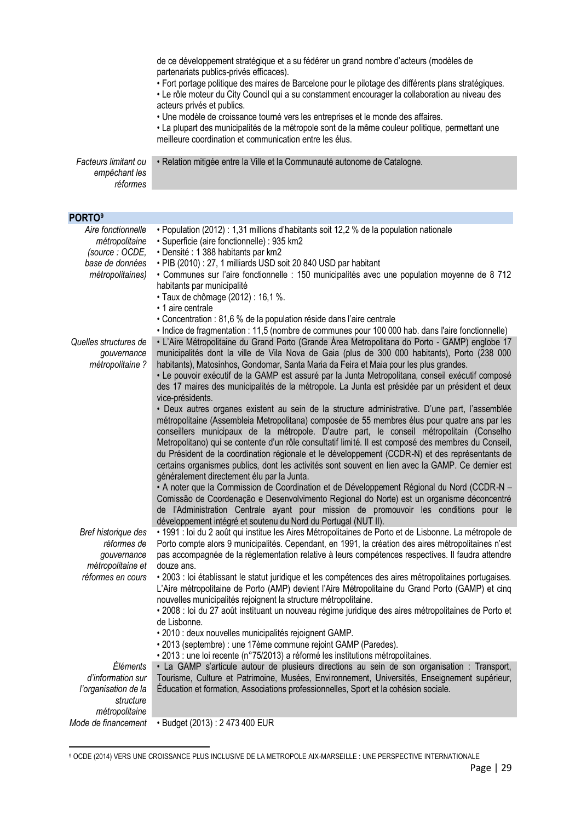<span id="page-28-0"></span>

|                                                                                               | de ce développement stratégique et a su fédérer un grand nombre d'acteurs (modèles de<br>partenariats publics-privés efficaces).<br>· Fort portage politique des maires de Barcelone pour le pilotage des différents plans stratégiques.<br>• Le rôle moteur du City Council qui a su constamment encourager la collaboration au niveau des<br>acteurs privés et publics.<br>· Une modèle de croissance tourné vers les entreprises et le monde des affaires.<br>• La plupart des municipalités de la métropole sont de la même couleur politique, permettant une<br>meilleure coordination et communication entre les élus.                                                                                                                                                                                                                                                                                                                                                                                                                                                                                                                                                                                                                                                                                                                                                                                                                                                                                                                                         |
|-----------------------------------------------------------------------------------------------|----------------------------------------------------------------------------------------------------------------------------------------------------------------------------------------------------------------------------------------------------------------------------------------------------------------------------------------------------------------------------------------------------------------------------------------------------------------------------------------------------------------------------------------------------------------------------------------------------------------------------------------------------------------------------------------------------------------------------------------------------------------------------------------------------------------------------------------------------------------------------------------------------------------------------------------------------------------------------------------------------------------------------------------------------------------------------------------------------------------------------------------------------------------------------------------------------------------------------------------------------------------------------------------------------------------------------------------------------------------------------------------------------------------------------------------------------------------------------------------------------------------------------------------------------------------------|
| Facteurs limitant ou<br>empêchant les<br>réformes                                             | · Relation mitigée entre la Ville et la Communauté autonome de Catalogne.                                                                                                                                                                                                                                                                                                                                                                                                                                                                                                                                                                                                                                                                                                                                                                                                                                                                                                                                                                                                                                                                                                                                                                                                                                                                                                                                                                                                                                                                                            |
|                                                                                               |                                                                                                                                                                                                                                                                                                                                                                                                                                                                                                                                                                                                                                                                                                                                                                                                                                                                                                                                                                                                                                                                                                                                                                                                                                                                                                                                                                                                                                                                                                                                                                      |
| <b>PORTO</b> <sup>9</sup>                                                                     |                                                                                                                                                                                                                                                                                                                                                                                                                                                                                                                                                                                                                                                                                                                                                                                                                                                                                                                                                                                                                                                                                                                                                                                                                                                                                                                                                                                                                                                                                                                                                                      |
| Aire fonctionnelle<br>métropolitaine<br>(source: OCDE,<br>base de données<br>métropolitaines) | • Population (2012) : 1,31 millions d'habitants soit 12,2 % de la population nationale<br>· Superficie (aire fonctionnelle) : 935 km2<br>· Densité : 1 388 habitants par km2<br>· PIB (2010) : 27, 1 milliards USD soit 20 840 USD par habitant<br>• Communes sur l'aire fonctionnelle : 150 municipalités avec une population moyenne de 8 712<br>habitants par municipalité<br>• Taux de chômage (2012) : 16,1 %.<br>• 1 aire centrale                                                                                                                                                                                                                                                                                                                                                                                                                                                                                                                                                                                                                                                                                                                                                                                                                                                                                                                                                                                                                                                                                                                             |
|                                                                                               | • Concentration : 81,6 % de la population réside dans l'aire centrale                                                                                                                                                                                                                                                                                                                                                                                                                                                                                                                                                                                                                                                                                                                                                                                                                                                                                                                                                                                                                                                                                                                                                                                                                                                                                                                                                                                                                                                                                                |
| Quelles structures de<br>gouvernance<br>métropolitaine ?                                      | · Indice de fragmentation : 11,5 (nombre de communes pour 100 000 hab. dans l'aire fonctionnelle)<br>• L'Aire Métropolitaine du Grand Porto (Grande Área Metropolitana do Porto - GAMP) englobe 17<br>municipalités dont la ville de Vila Nova de Gaia (plus de 300 000 habitants), Porto (238 000<br>habitants), Matosinhos, Gondomar, Santa Maria da Feira et Maia pour les plus grandes.<br>• Le pouvoir exécutif de la GAMP est assuré par la Junta Metropolitana, conseil exécutif composé<br>des 17 maires des municipalités de la métropole. La Junta est présidée par un président et deux<br>vice-présidents.<br>· Deux autres organes existent au sein de la structure administrative. D'une part, l'assemblée<br>métropolitaine (Assembleia Metropolitana) composée de 55 membres élus pour quatre ans par les<br>conseillers municipaux de la métropole. D'autre part, le conseil métropolitain (Conselho<br>Metropolitano) qui se contente d'un rôle consultatif limité. Il est composé des membres du Conseil,<br>du Président de la coordination régionale et le développement (CCDR-N) et des représentants de<br>certains organismes publics, dont les activités sont souvent en lien avec la GAMP. Ce dernier est<br>généralement directement élu par la Junta.<br>- A noter que la Commission de Coordination et de Développement Régional du Nord (CCDR-N -<br>Comissão de Coordenação e Desenvolvimento Regional do Norte) est un organisme déconcentré<br>de l'Administration Centrale ayant pour mission de promouvoir les conditions pour le |
| Bref historique des<br>réformes de<br>gouvernance<br>métropolitaine et                        | développement intégré et soutenu du Nord du Portugal (NUT II).<br>· 1991 : loi du 2 août qui institue les Aires Métropolitaines de Porto et de Lisbonne. La métropole de<br>Porto compte alors 9 municipalités. Cependant, en 1991, la création des aires métropolitaines n'est<br>pas accompagnée de la réglementation relative à leurs compétences respectives. Il faudra attendre<br>douze ans.                                                                                                                                                                                                                                                                                                                                                                                                                                                                                                                                                                                                                                                                                                                                                                                                                                                                                                                                                                                                                                                                                                                                                                   |
| réformes en cours                                                                             | * 2003 : loi établissant le statut juridique et les compétences des aires métropolitaines portugaises.<br>L'Aire métropolitaine de Porto (AMP) devient l'Aire Métropolitaine du Grand Porto (GAMP) et cinq<br>nouvelles municipalités rejoignent la structure métropolitaine.<br>* 2008 : loi du 27 août instituant un nouveau régime juridique des aires métropolitaines de Porto et<br>de Lisbonne.<br>· 2010 : deux nouvelles municipalités rejoignent GAMP.<br>• 2013 (septembre) : une 17ème commune rejoint GAMP (Paredes).<br>· 2013 : une loi recente (n°75/2013) a réformé les institutions métropolitaines.                                                                                                                                                                                                                                                                                                                                                                                                                                                                                                                                                                                                                                                                                                                                                                                                                                                                                                                                                |
| Éléments<br>d'information sur<br>l'organisation de la<br>structure<br>métropolitaine          | • La GAMP s'articule autour de plusieurs directions au sein de son organisation : Transport,<br>Tourisme, Culture et Patrimoine, Musées, Environnement, Universités, Enseignement supérieur,<br>Éducation et formation, Associations professionnelles, Sport et la cohésion sociale.                                                                                                                                                                                                                                                                                                                                                                                                                                                                                                                                                                                                                                                                                                                                                                                                                                                                                                                                                                                                                                                                                                                                                                                                                                                                                 |
| Mode de financement                                                                           | • Budget (2013): 2 473 400 EUR                                                                                                                                                                                                                                                                                                                                                                                                                                                                                                                                                                                                                                                                                                                                                                                                                                                                                                                                                                                                                                                                                                                                                                                                                                                                                                                                                                                                                                                                                                                                       |

**<sup>.</sup>** <sup>9</sup> OCDE (2014) VERS UNE CROISSANCE PLUS INCLUSIVE DE LA METROPOLE AIX-MARSEILLE : UNE PERSPECTIVE INTERNATIONALE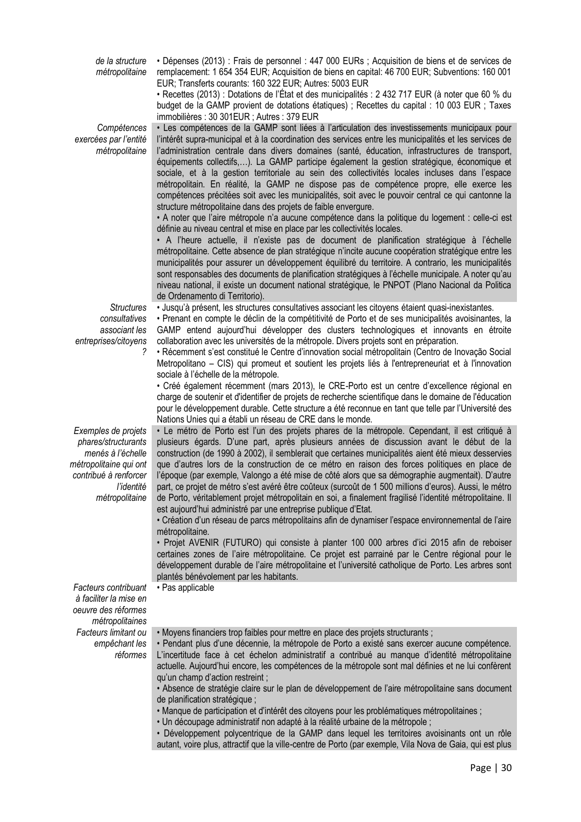*de la structure métropolitaine*

*Compétences exercées par l'entité métropolitaine*

*associant les entreprises/citoyens* 

*Exemples de projets phares/structurants menés à l'échelle métropolitaine qui ont contribué à renforcer* 

> *l'identité métropolitaine*

*?*

• Dépenses (2013) : Frais de personnel : 447 000 EURs ; Acquisition de biens et de services de remplacement: 1 654 354 EUR; Acquisition de biens en capital: 46 700 EUR; Subventions: 160 001 EUR; Transferts courants: 160 322 EUR; Autres: 5003 EUR

• Recettes (2013) : Dotations de l'État et des municipalités : 2 432 717 EUR (à noter que 60 % du budget de la GAMP provient de dotations étatiques) ; Recettes du capital : 10 003 EUR ; Taxes immobilières : 30 301EUR ; Autres : 379 EUR

• Les compétences de la GAMP sont liées à l'articulation des investissements municipaux pour l'intérêt supra-municipal et à la coordination des services entre les municipalités et les services de l'administration centrale dans divers domaines (santé, éducation, infrastructures de transport, équipements collectifs,…). La GAMP participe également la gestion stratégique, économique et sociale, et à la gestion territoriale au sein des collectivités locales incluses dans l'espace métropolitain. En réalité, la GAMP ne dispose pas de compétence propre, elle exerce les compétences précitées soit avec les municipalités, soit avec le pouvoir central ce qui cantonne la structure métropolitaine dans des projets de faible envergure.

• A noter que l'aire métropole n'a aucune compétence dans la politique du logement : celle-ci est définie au niveau central et mise en place par les collectivités locales.

• A l'heure actuelle, il n'existe pas de document de planification stratégique à l'échelle métropolitaine. Cette absence de plan stratégique n'incite aucune coopération stratégique entre les municipalités pour assurer un développement équilibré du territoire. A contrario, les municipalités sont responsables des documents de planification stratégiques à l'échelle municipale. A noter qu'au niveau national, il existe un document national stratégique, le PNPOT (Plano Nacional da Politica de Ordenamento di Territorio).

*Structures consultatives*  • Jusqu'à présent, les structures consultatives associant les citoyens étaient quasi-inexistantes.

• Prenant en compte le déclin de la compétitivité de Porto et de ses municipalités avoisinantes, la GAMP entend aujourd'hui développer des clusters technologiques et innovants en étroite collaboration avec les universités de la métropole. Divers projets sont en préparation.

• Récemment s'est constitué le Centre d'innovation social métropolitain (Centro de Inovação Social Metropolitano – CIS) qui promeut et soutient les projets liés à l'entrepreneuriat et à l'innovation sociale à l'échelle de la métropole.

• Créé également récemment (mars 2013), le CRE-Porto est un centre d'excellence régional en charge de soutenir et d'identifier de projets de recherche scientifique dans le domaine de l'éducation pour le développement durable. Cette structure a été reconnue en tant que telle par l'Université des Nations Unies qui a établi un réseau de CRE dans le monde.

• Le métro de Porto est l'un des projets phares de la métropole. Cependant, il est critiqué à plusieurs égards. D'une part, après plusieurs années de discussion avant le début de la construction (de 1990 à 2002), il semblerait que certaines municipalités aient été mieux desservies que d'autres lors de la construction de ce métro en raison des forces politiques en place de l'époque (par exemple, Valongo a été mise de côté alors que sa démographie augmentait). D'autre part, ce projet de métro s'est avéré être coûteux (surcoût de 1 500 millions d'euros). Aussi, le métro de Porto, véritablement projet métropolitain en soi, a finalement fragilisé l'identité métropolitaine. Il est aujourd'hui administré par une entreprise publique d'Etat.

• Création d'un réseau de parcs métropolitains afin de dynamiser l'espace environnemental de l'aire métropolitaine.

• Projet AVENIR (FUTURO) qui consiste à planter 100 000 arbres d'ici 2015 afin de reboiser certaines zones de l'aire métropolitaine. Ce projet est parrainé par le Centre régional pour le développement durable de l'aire métropolitaine et l'université catholique de Porto. Les arbres sont plantés bénévolement par les habitants.

• Pas applicable

*Facteurs contribuant à faciliter la mise en oeuvre des réformes métropolitaines Facteurs limitant ou empêchant les réformes*

• Moyens financiers trop faibles pour mettre en place des projets structurants ;

• Pendant plus d'une décennie, la métropole de Porto a existé sans exercer aucune compétence. L'incertitude face à cet échelon administratif a contribué au manque d'identité métropolitaine actuelle. Aujourd'hui encore, les compétences de la métropole sont mal définies et ne lui confèrent qu'un champ d'action restreint ;

• Absence de stratégie claire sur le plan de développement de l'aire métropolitaine sans document de planification stratégique ;

• Manque de participation et d'intérêt des citoyens pour les problématiques métropolitaines ;

• Un découpage administratif non adapté à la réalité urbaine de la métropole ;

• Développement polycentrique de la GAMP dans lequel les territoires avoisinants ont un rôle autant, voire plus, attractif que la ville-centre de Porto (par exemple, Vila Nova de Gaia, qui est plus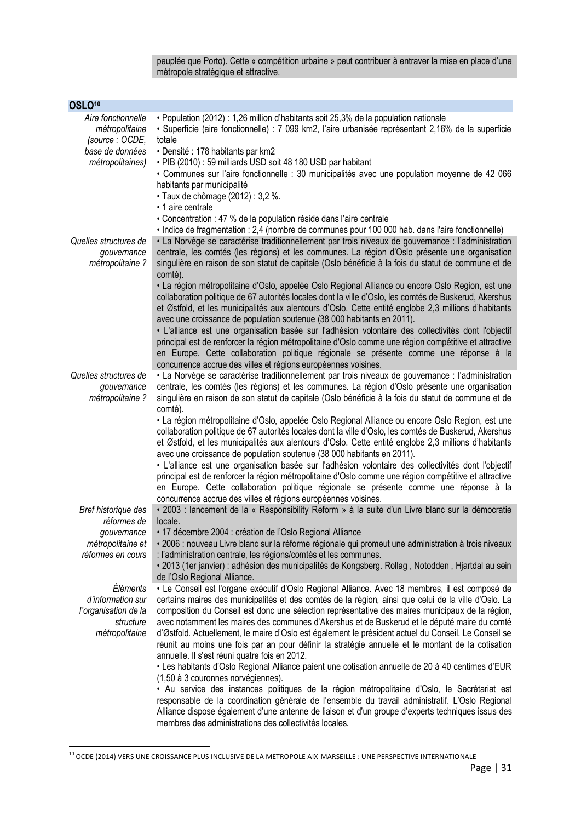peuplée que Porto). Cette « compétition urbaine » peut contribuer à entraver la mise en place d'une métropole stratégique et attractive.

<span id="page-30-0"></span>

| OSLO <sup>10</sup>    |                                                                                                        |
|-----------------------|--------------------------------------------------------------------------------------------------------|
| Aire fonctionnelle    | • Population (2012) : 1,26 million d'habitants soit 25,3% de la population nationale                   |
| métropolitaine        | · Superficie (aire fonctionnelle) : 7 099 km2, l'aire urbanisée représentant 2,16% de la superficie    |
| (source: OCDE,        | totale                                                                                                 |
| base de données       | • Densité : 178 habitants par km2                                                                      |
| métropolitaines)      | • PIB (2010) : 59 milliards USD soit 48 180 USD par habitant                                           |
|                       | • Communes sur l'aire fonctionnelle : 30 municipalités avec une population moyenne de 42 066           |
|                       | habitants par municipalité                                                                             |
|                       | • Taux de chômage (2012) : 3,2 %.                                                                      |
|                       | • 1 aire centrale                                                                                      |
|                       | • Concentration : 47 % de la population réside dans l'aire centrale                                    |
|                       | · Indice de fragmentation : 2,4 (nombre de communes pour 100 000 hab. dans l'aire fonctionnelle)       |
| Quelles structures de | • La Norvège se caractérise traditionnellement par trois niveaux de gouvernance : l'administration     |
| gouvernance           | centrale, les comtés (les régions) et les communes. La région d'Oslo présente une organisation         |
| métropolitaine ?      | singulière en raison de son statut de capitale (Oslo bénéficie à la fois du statut de commune et de    |
|                       | comté).                                                                                                |
|                       | • La région métropolitaine d'Oslo, appelée Oslo Regional Alliance ou encore Oslo Region, est une       |
|                       | collaboration politique de 67 autorités locales dont la ville d'Oslo, les comtés de Buskerud, Akershus |
|                       | et Østfold, et les municipalités aux alentours d'Oslo. Cette entité englobe 2,3 millions d'habitants   |
|                       | avec une croissance de population soutenue (38 000 habitants en 2011).                                 |
|                       | · L'alliance est une organisation basée sur l'adhésion volontaire des collectivités dont l'objectif    |
|                       | principal est de renforcer la région métropolitaine d'Oslo comme une région compétitive et attractive  |
|                       | en Europe. Cette collaboration politique régionale se présente comme une réponse à la                  |
|                       | concurrence accrue des villes et régions européennes voisines.                                         |
| Quelles structures de | • La Norvège se caractérise traditionnellement par trois niveaux de gouvernance : l'administration     |
| gouvernance           | centrale, les comtés (les régions) et les communes. La région d'Oslo présente une organisation         |
| métropolitaine ?      | singulière en raison de son statut de capitale (Oslo bénéficie à la fois du statut de commune et de    |
|                       | comté).                                                                                                |
|                       | • La région métropolitaine d'Oslo, appelée Oslo Regional Alliance ou encore Oslo Region, est une       |
|                       | collaboration politique de 67 autorités locales dont la ville d'Oslo, les comtés de Buskerud, Akershus |
|                       | et Østfold, et les municipalités aux alentours d'Oslo. Cette entité englobe 2,3 millions d'habitants   |
|                       | avec une croissance de population soutenue (38 000 habitants en 2011).                                 |
|                       | · L'alliance est une organisation basée sur l'adhésion volontaire des collectivités dont l'objectif    |
|                       | principal est de renforcer la région métropolitaine d'Oslo comme une région compétitive et attractive  |
|                       | en Europe. Cette collaboration politique régionale se présente comme une réponse à la                  |
|                       | concurrence accrue des villes et régions européennes voisines.                                         |
| Bref historique des   | • 2003 : lancement de la « Responsibility Reform » à la suite d'un Livre blanc sur la démocratie       |
| réformes de           | locale.                                                                                                |
| gouvernance           | · 17 décembre 2004 : création de l'Oslo Regional Alliance                                              |
| métropolitaine et     | · 2006 : nouveau Livre blanc sur la réforme régionale qui promeut une administration à trois niveaux   |
| réformes en cours     | : l'administration centrale, les régions/comtés et les communes.                                       |
|                       | · 2013 (1er janvier) : adhésion des municipalités de Kongsberg. Rollag, Notodden, Hjartdal au sein     |
|                       | de l'Oslo Regional Alliance.                                                                           |
| Éléments              | • Le Conseil est l'organe exécutif d'Oslo Regional Alliance. Avec 18 membres, il est composé de        |
| d'information sur     | certains maires des municipalités et des comtés de la région, ainsi que celui de la ville d'Oslo. La   |
| l'organisation de la  | composition du Conseil est donc une sélection représentative des maires municipaux de la région,       |
| structure             | avec notamment les maires des communes d'Akershus et de Buskerud et le député maire du comté           |
| métropolitaine        | d'Østfold. Actuellement, le maire d'Oslo est également le président actuel du Conseil. Le Conseil se   |
|                       | réunit au moins une fois par an pour définir la stratégie annuelle et le montant de la cotisation      |
|                       | annuelle. Il s'est réuni quatre fois en 2012.                                                          |
|                       | • Les habitants d'Oslo Regional Alliance paient une cotisation annuelle de 20 à 40 centimes d'EUR      |
|                       | (1,50 à 3 couronnes norvégiennes).                                                                     |
|                       | · Au service des instances politiques de la région métropolitaine d'Oslo, le Secrétariat est           |
|                       | responsable de la coordination générale de l'ensemble du travail administratif. L'Oslo Regional        |
|                       | Alliance dispose également d'une antenne de liaison et d'un groupe d'experts techniques issus des      |
|                       | membres des administrations des collectivités locales.                                                 |

<sup>-</sup> $^{10}$  OCDE (2014) VERS UNE CROISSANCE PLUS INCLUSIVE DE LA METROPOLE AIX-MARSEILLE : UNE PERSPECTIVE INTERNATIONALE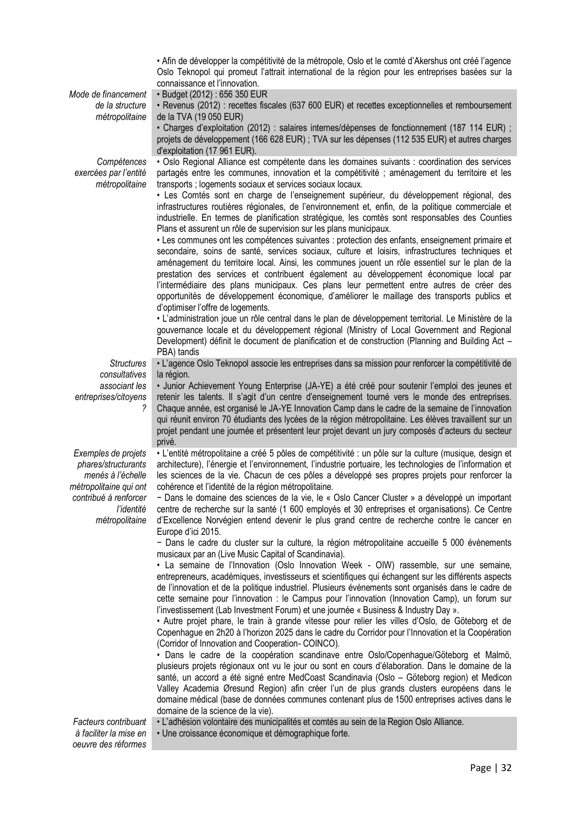• Afin de développer la compétitivité de la métropole, Oslo et le comté d'Akershus ont créé l'agence Oslo Teknopol qui promeut l'attrait international de la région pour les entreprises basées sur la connaissance et l'innovation. *Mode de financement de la structure métropolitaine* • Budget (2012) : 656 350 EUR • Revenus (2012) : recettes fiscales (637 600 EUR) et recettes exceptionnelles et remboursement de la TVA (19 050 EUR) • Charges d'exploitation (2012) : salaires internes/dépenses de fonctionnement (187 114 EUR) ; projets de développement (166 628 EUR) ; TVA sur les dépenses (112 535 EUR) et autres charges d'exploitation (17 961 EUR). *Compétences exercées par l'entité métropolitaine* • Oslo Regional Alliance est compétente dans les domaines suivants : coordination des services partagés entre les communes, innovation et la compétitivité ; aménagement du territoire et les transports ; logements sociaux et services sociaux locaux. • Les Comtés sont en charge de l'enseignement supérieur, du développement régional, des infrastructures routières régionales, de l'environnement et, enfin, de la politique commerciale et industrielle. En termes de planification stratégique, les comtés sont responsables des Counties Plans et assurent un rôle de supervision sur les plans municipaux. • Les communes ont les compétences suivantes : protection des enfants, enseignement primaire et secondaire, soins de santé, services sociaux, culture et loisirs, infrastructures techniques et aménagement du territoire local. Ainsi, les communes jouent un rôle essentiel sur le plan de la prestation des services et contribuent également au développement économique local par l'intermédiaire des plans municipaux. Ces plans leur permettent entre autres de créer des opportunités de développement économique, d'améliorer le maillage des transports publics et d'optimiser l'offre de logements. • L'administration joue un rôle central dans le plan de développement territorial. Le Ministère de la gouvernance locale et du développement régional (Ministry of Local Government and Regional Development) définit le document de planification et de construction (Planning and Building Act – PBA) tandis *Structures consultatives associant les entreprises/citoyens ?* • L'agence Oslo Teknopol associe les entreprises dans sa mission pour renforcer la compétitivité de la région. • Junior Achievement Young Enterprise (JA-YE) a été créé pour soutenir l'emploi des jeunes et retenir les talents. Il s'agit d'un centre d'enseignement tourné vers le monde des entreprises. Chaque année, est organisé le JA-YE Innovation Camp dans le cadre de la semaine de l'innovation qui réunit environ 70 étudiants des lycées de la région métropolitaine. Les élèves travaillent sur un projet pendant une journée et présentent leur projet devant un jury composés d'acteurs du secteur privé. *Exemples de projets phares/structurants menés à l'échelle métropolitaine qui ont contribué à renforcer l'identité métropolitaine* • L'entité métropolitaine a créé 5 pôles de compétitivité : un pôle sur la culture (musique, design et architecture), l'énergie et l'environnement, l'industrie portuaire, les technologies de l'information et les sciences de la vie. Chacun de ces pôles a développé ses propres projets pour renforcer la cohérence et l'identité de la région métropolitaine. − Dans le domaine des sciences de la vie, le « Oslo Cancer Cluster » a développé un important centre de recherche sur la santé (1 600 employés et 30 entreprises et organisations). Ce Centre d'Excellence Norvégien entend devenir le plus grand centre de recherche contre le cancer en Europe d'ici 2015. − Dans le cadre du cluster sur la culture, la région métropolitaine accueille 5 000 évènements musicaux par an (Live Music Capital of Scandinavia). • La semaine de l'Innovation (Oslo Innovation Week - OIW) rassemble, sur une semaine, entrepreneurs, académiques, investisseurs et scientifiques qui échangent sur les différents aspects de l'innovation et de la politique industriel. Plusieurs évènements sont organisés dans le cadre de cette semaine pour l'innovation : le Campus pour l'innovation (Innovation Camp), un forum sur l'investissement (Lab Investment Forum) et une journée « Business & Industry Day ». • Autre projet phare, le train à grande vitesse pour relier les villes d'Oslo, de Göteborg et de Copenhague en 2h20 à l'horizon 2025 dans le cadre du Corridor pour l'Innovation et la Coopération (Corridor of Innovation and Cooperation- COINCO). • Dans le cadre de la coopération scandinave entre Oslo/Copenhague/Göteborg et Malmö, plusieurs projets régionaux ont vu le jour ou sont en cours d'élaboration. Dans le domaine de la santé, un accord a été signé entre MedCoast Scandinavia (Oslo – Göteborg region) et Medicon Valley Academia Øresund Region) afin créer l'un de plus grands clusters européens dans le domaine médical (base de données communes contenant plus de 1500 entreprises actives dans le domaine de la science de la vie). *Facteurs contribuant à faciliter la mise en oeuvre des réformes*  • L'adhésion volontaire des municipalités et comtés au sein de la Region Oslo Alliance. • Une croissance économique et démographique forte.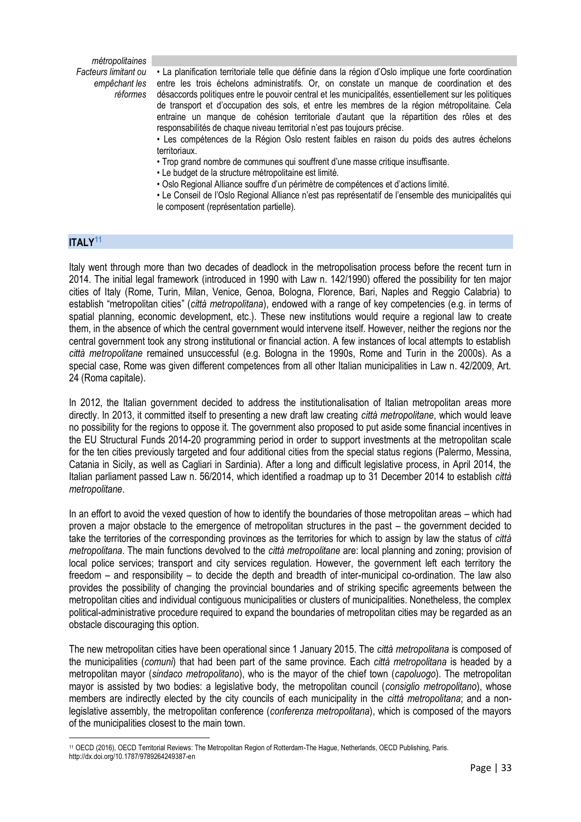*métropolitaines Facteurs limitant ou empêchant les réformes*

• La planification territoriale telle que définie dans la région d'Oslo implique une forte coordination entre les trois échelons administratifs. Or, on constate un manque de coordination et des désaccords politiques entre le pouvoir central et les municipalités, essentiellement sur les politiques de transport et d'occupation des sols, et entre les membres de la région métropolitaine. Cela entraine un manque de cohésion territoriale d'autant que la répartition des rôles et des responsabilités de chaque niveau territorial n'est pas toujours précise.

• Les compétences de la Région Oslo restent faibles en raison du poids des autres échelons territoriaux.

• Trop grand nombre de communes qui souffrent d'une masse critique insuffisante.

• Le budget de la structure métropolitaine est limité.

• Oslo Regional Alliance souffre d'un périmètre de compétences et d'actions limité.

• Le Conseil de l'Oslo Regional Alliance n'est pas représentatif de l'ensemble des municipalités qui le composent (représentation partielle).

## <span id="page-32-0"></span>**ITALY<sup>11</sup>**

Italy went through more than two decades of deadlock in the metropolisation process before the recent turn in 2014. The initial legal framework (introduced in 1990 with Law n. 142/1990) offered the possibility for ten major cities of Italy (Rome, Turin, Milan, Venice, Genoa, Bologna, Florence, Bari, Naples and Reggio Calabria) to establish "metropolitan cities" (*città metropolitana*), endowed with a range of key competencies (e.g. in terms of spatial planning, economic development, etc.). These new institutions would require a regional law to create them, in the absence of which the central government would intervene itself. However, neither the regions nor the central government took any strong institutional or financial action. A few instances of local attempts to establish *città metropolitane* remained unsuccessful (e.g. Bologna in the 1990s, Rome and Turin in the 2000s). As a special case, Rome was given different competences from all other Italian municipalities in Law n. 42/2009, Art. 24 (Roma capitale).

In 2012, the Italian government decided to address the institutionalisation of Italian metropolitan areas more directly. In 2013, it committed itself to presenting a new draft law creating *città metropolitane*, which would leave no possibility for the regions to oppose it. The government also proposed to put aside some financial incentives in the EU Structural Funds 2014-20 programming period in order to support investments at the metropolitan scale for the ten cities previously targeted and four additional cities from the special status regions (Palermo, Messina, Catania in Sicily, as well as Cagliari in Sardinia). After a long and difficult legislative process, in April 2014, the Italian parliament passed Law n. 56/2014, which identified a roadmap up to 31 December 2014 to establish *città metropolitane*.

In an effort to avoid the vexed question of how to identify the boundaries of those metropolitan areas – which had proven a major obstacle to the emergence of metropolitan structures in the past – the government decided to take the territories of the corresponding provinces as the territories for which to assign by law the status of *città metropolitana*. The main functions devolved to the *città metropolitane* are: local planning and zoning; provision of local police services; transport and city services regulation. However, the government left each territory the freedom – and responsibility – to decide the depth and breadth of inter-municipal co-ordination. The law also provides the possibility of changing the provincial boundaries and of striking specific agreements between the metropolitan cities and individual contiguous municipalities or clusters of municipalities. Nonetheless, the complex political-administrative procedure required to expand the boundaries of metropolitan cities may be regarded as an obstacle discouraging this option.

The new metropolitan cities have been operational since 1 January 2015. The *città metropolitana* is composed of the municipalities (*comuni*) that had been part of the same province. Each *città metropolitana* is headed by a metropolitan mayor (*sindaco metropolitano*), who is the mayor of the chief town (*capoluogo*). The metropolitan mayor is assisted by two bodies: a legislative body, the metropolitan council (*consiglio metropolitano*), whose members are indirectly elected by the city councils of each municipality in the *città metropolitana*; and a nonlegislative assembly, the metropolitan conference (*conferenza metropolitana*), which is composed of the mayors of the municipalities closest to the main town.

<sup>-</sup><sup>11</sup> OECD (2016), OECD Territorial Reviews: The Metropolitan Region of Rotterdam-The Hague, Netherlands, OECD Publishing, Paris. http://dx.doi.org/10.1787/9789264249387-en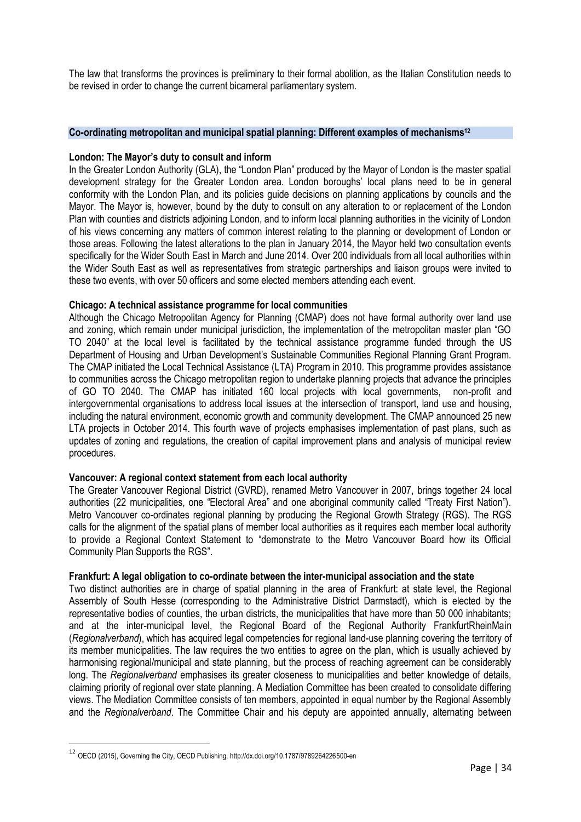The law that transforms the provinces is preliminary to their formal abolition, as the Italian Constitution needs to be revised in order to change the current bicameral parliamentary system.

#### <span id="page-33-0"></span>**Co-ordinating metropolitan and municipal spatial planning: Different examples of mechanisms<sup>12</sup>**

#### **London: The Mayor's duty to consult and inform**

In the Greater London Authority (GLA), the "London Plan" produced by the Mayor of London is the master spatial development strategy for the Greater London area. London boroughs' local plans need to be in general conformity with the London Plan, and its policies guide decisions on planning applications by councils and the Mayor. The Mayor is, however, bound by the duty to consult on any alteration to or replacement of the London Plan with counties and districts adjoining London, and to inform local planning authorities in the vicinity of London of his views concerning any matters of common interest relating to the planning or development of London or those areas. Following the latest alterations to the plan in January 2014, the Mayor held two consultation events specifically for the Wider South East in March and June 2014. Over 200 individuals from all local authorities within the Wider South East as well as representatives from strategic partnerships and liaison groups were invited to these two events, with over 50 officers and some elected members attending each event.

#### **Chicago: A technical assistance programme for local communities**

Although the Chicago Metropolitan Agency for Planning (CMAP) does not have formal authority over land use and zoning, which remain under municipal jurisdiction, the implementation of the metropolitan master plan "GO TO 2040" at the local level is facilitated by the technical assistance programme funded through the US Department of Housing and Urban Development's Sustainable Communities Regional Planning Grant Program. The CMAP initiated the Local Technical Assistance (LTA) Program in 2010. This programme provides assistance to communities across the Chicago metropolitan region to undertake planning projects that advance the principles of GO TO 2040. The CMAP has initiated 160 local projects with local governments, non-profit and intergovernmental organisations to address local issues at the intersection of transport, land use and housing, including the natural environment, economic growth and community development. The CMAP announced 25 new LTA projects in October 2014. This fourth wave of projects emphasises implementation of past plans, such as updates of zoning and regulations, the creation of capital improvement plans and analysis of municipal review procedures.

#### **Vancouver: A regional context statement from each local authority**

The Greater Vancouver Regional District (GVRD), renamed Metro Vancouver in 2007, brings together 24 local authorities (22 municipalities, one "Electoral Area" and one aboriginal community called "Treaty First Nation"). Metro Vancouver co-ordinates regional planning by producing the Regional Growth Strategy (RGS). The RGS calls for the alignment of the spatial plans of member local authorities as it requires each member local authority to provide a Regional Context Statement to "demonstrate to the Metro Vancouver Board how its Official Community Plan Supports the RGS".

#### **Frankfurt: A legal obligation to co-ordinate between the inter-municipal association and the state**

Two distinct authorities are in charge of spatial planning in the area of Frankfurt: at state level, the Regional Assembly of South Hesse (corresponding to the Administrative District Darmstadt), which is elected by the representative bodies of counties, the urban districts, the municipalities that have more than 50 000 inhabitants; and at the inter-municipal level, the Regional Board of the Regional Authority FrankfurtRheinMain (*Regionalverband*), which has acquired legal competencies for regional land-use planning covering the territory of its member municipalities. The law requires the two entities to agree on the plan, which is usually achieved by harmonising regional/municipal and state planning, but the process of reaching agreement can be considerably long. The *Regionalverband* emphasises its greater closeness to municipalities and better knowledge of details, claiming priority of regional over state planning. A Mediation Committee has been created to consolidate differing views. The Mediation Committee consists of ten members, appointed in equal number by the Regional Assembly and the *Regionalverband*. The Committee Chair and his deputy are appointed annually, alternating between

-

<sup>12</sup> OECD (2015), Governing the City, OECD Publishing. http://dx.doi.org/10.1787/9789264226500-en